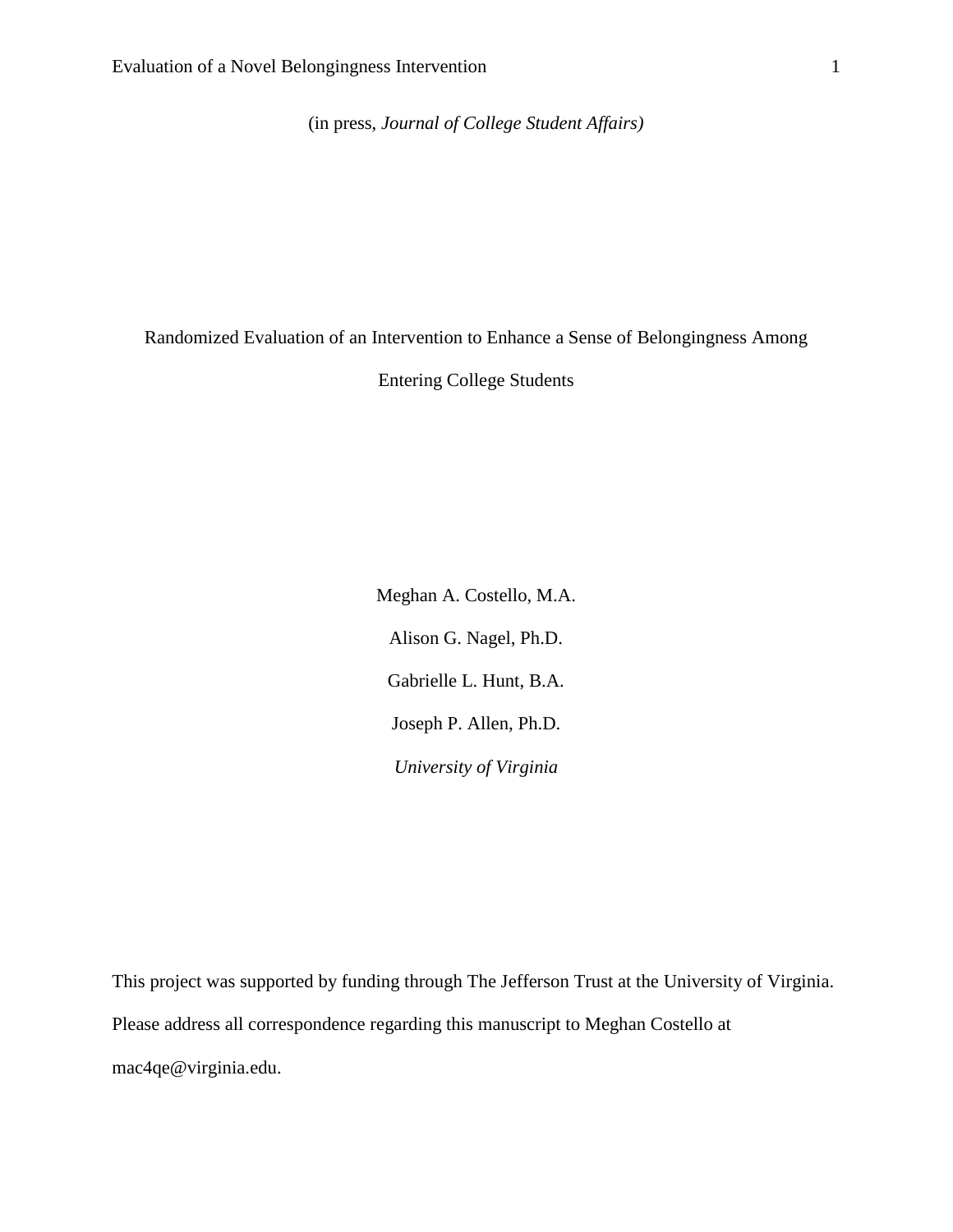(in press, *Journal of College Student Affairs)*

Randomized Evaluation of an Intervention to Enhance a Sense of Belongingness Among

Entering College Students

Meghan A. Costello, M.A. Alison G. Nagel, Ph.D. Gabrielle L. Hunt, B.A. Joseph P. Allen, Ph.D. *University of Virginia*

This project was supported by funding through The Jefferson Trust at the University of Virginia. Please address all correspondence regarding this manuscript to Meghan Costello at mac4qe@virginia.edu.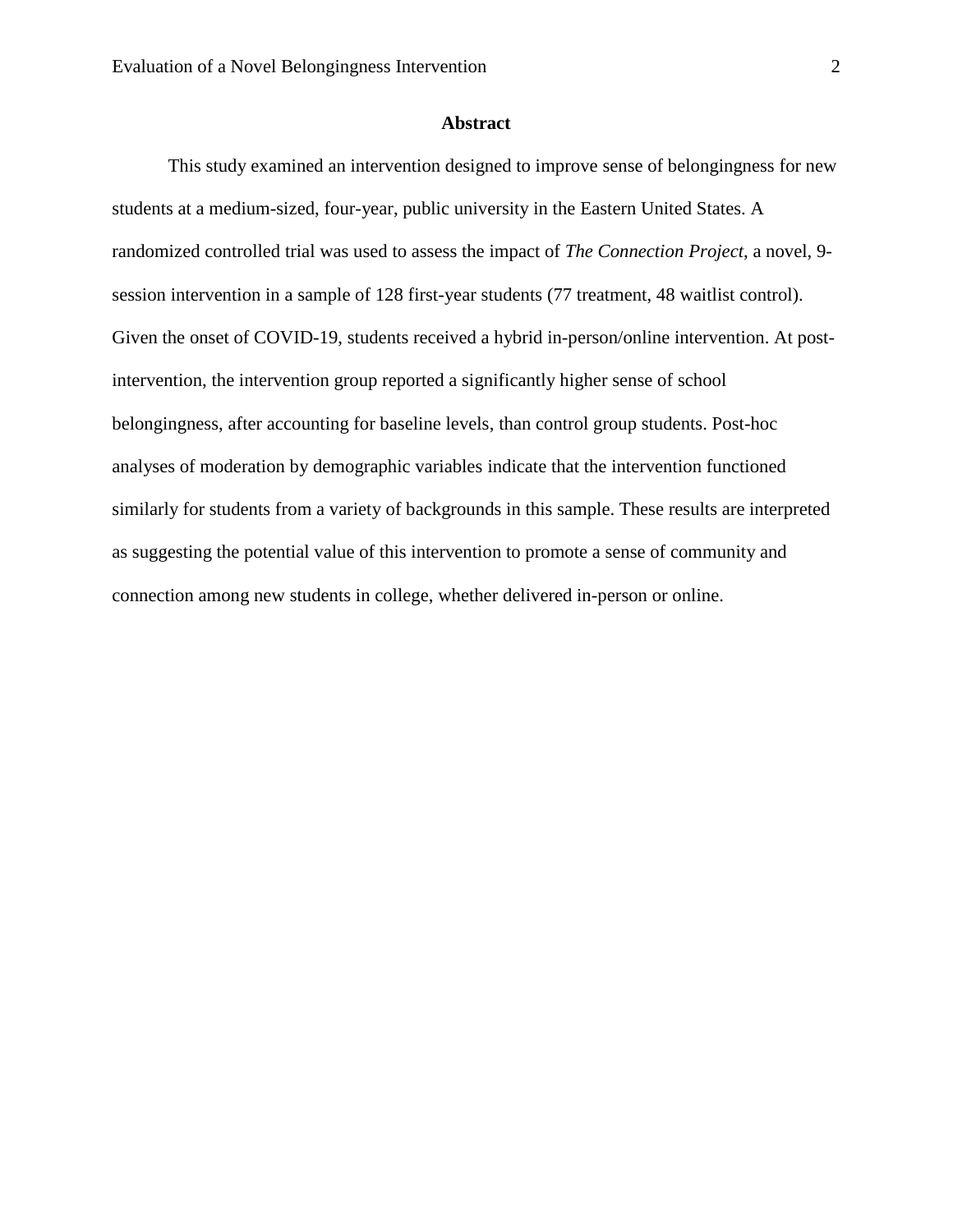# **Abstract**

This study examined an intervention designed to improve sense of belongingness for new students at a medium-sized, four-year, public university in the Eastern United States. A randomized controlled trial was used to assess the impact of *The Connection Project*, a novel, 9 session intervention in a sample of 128 first-year students (77 treatment, 48 waitlist control). Given the onset of COVID-19, students received a hybrid in-person/online intervention. At postintervention, the intervention group reported a significantly higher sense of school belongingness, after accounting for baseline levels, than control group students. Post-hoc analyses of moderation by demographic variables indicate that the intervention functioned similarly for students from a variety of backgrounds in this sample. These results are interpreted as suggesting the potential value of this intervention to promote a sense of community and connection among new students in college, whether delivered in-person or online.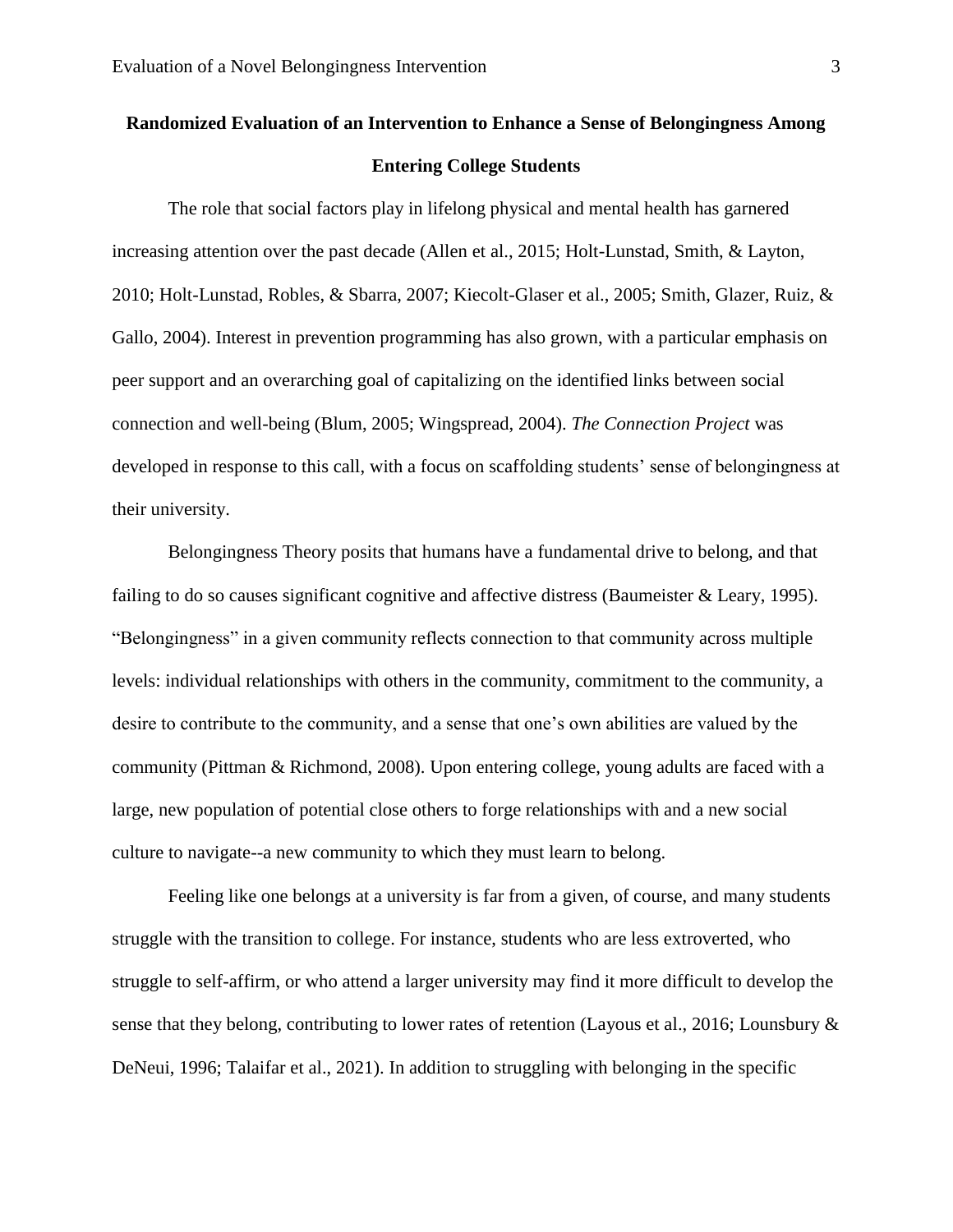# **Randomized Evaluation of an Intervention to Enhance a Sense of Belongingness Among Entering College Students**

The role that social factors play in lifelong physical and mental health has garnered increasing attention over the past decade (Allen et al., 2015; Holt-Lunstad, Smith, & Layton, 2010; Holt-Lunstad, Robles, & Sbarra, 2007; Kiecolt-Glaser et al., 2005; Smith, Glazer, Ruiz, & Gallo, 2004). Interest in prevention programming has also grown, with a particular emphasis on peer support and an overarching goal of capitalizing on the identified links between social connection and well-being (Blum, 2005; Wingspread, 2004). *The Connection Project* was developed in response to this call, with a focus on scaffolding students' sense of belongingness at their university.

Belongingness Theory posits that humans have a fundamental drive to belong, and that failing to do so causes significant cognitive and affective distress (Baumeister & Leary, 1995). "Belongingness" in a given community reflects connection to that community across multiple levels: individual relationships with others in the community, commitment to the community, a desire to contribute to the community, and a sense that one's own abilities are valued by the community (Pittman & Richmond, 2008). Upon entering college, young adults are faced with a large, new population of potential close others to forge relationships with and a new social culture to navigate--a new community to which they must learn to belong.

Feeling like one belongs at a university is far from a given, of course, and many students struggle with the transition to college. For instance, students who are less extroverted, who struggle to self-affirm, or who attend a larger university may find it more difficult to develop the sense that they belong, contributing to lower rates of retention (Layous et al., 2016; Lounsbury & DeNeui, 1996; Talaifar et al., 2021). In addition to struggling with belonging in the specific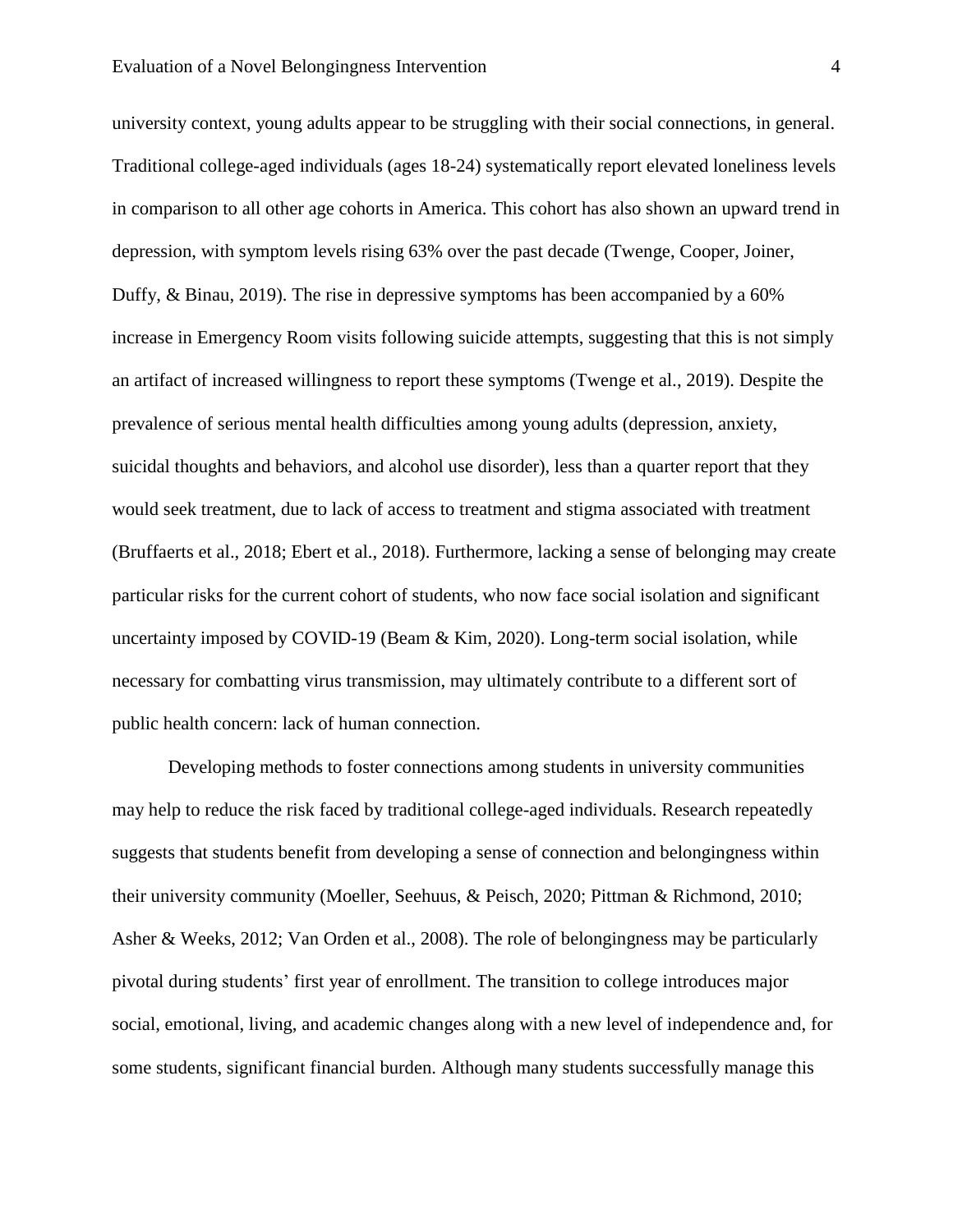#### Evaluation of a Novel Belongingness Intervention 4

university context, young adults appear to be struggling with their social connections, in general. Traditional college-aged individuals (ages 18-24) systematically report elevated loneliness levels in comparison to all other age cohorts in America. This cohort has also shown an upward trend in depression, with symptom levels rising 63% over the past decade (Twenge, Cooper, Joiner, Duffy, & Binau, 2019). The rise in depressive symptoms has been accompanied by a 60% increase in Emergency Room visits following suicide attempts, suggesting that this is not simply an artifact of increased willingness to report these symptoms (Twenge et al., 2019). Despite the prevalence of serious mental health difficulties among young adults (depression, anxiety, suicidal thoughts and behaviors, and alcohol use disorder), less than a quarter report that they would seek treatment, due to lack of access to treatment and stigma associated with treatment (Bruffaerts et al., 2018; Ebert et al., 2018). Furthermore, lacking a sense of belonging may create particular risks for the current cohort of students, who now face social isolation and significant uncertainty imposed by COVID-19 (Beam & Kim, 2020). Long-term social isolation, while necessary for combatting virus transmission, may ultimately contribute to a different sort of public health concern: lack of human connection.

Developing methods to foster connections among students in university communities may help to reduce the risk faced by traditional college-aged individuals. Research repeatedly suggests that students benefit from developing a sense of connection and belongingness within their university community (Moeller, Seehuus, & Peisch, 2020; Pittman & Richmond, 2010; Asher & Weeks, 2012; Van Orden et al., 2008). The role of belongingness may be particularly pivotal during students' first year of enrollment. The transition to college introduces major social, emotional, living, and academic changes along with a new level of independence and, for some students, significant financial burden. Although many students successfully manage this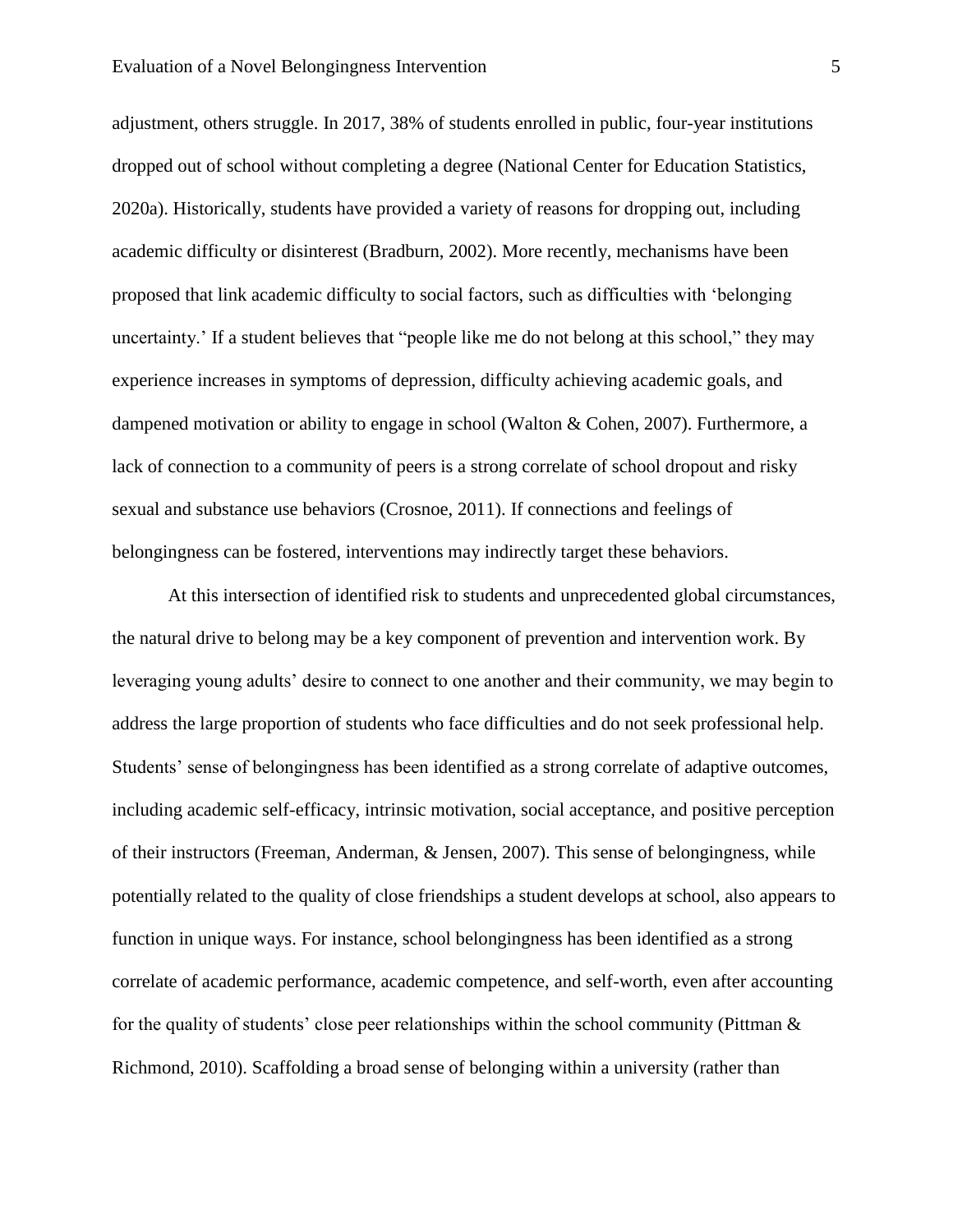#### Evaluation of a Novel Belongingness Intervention 5

adjustment, others struggle. In 2017, 38% of students enrolled in public, four-year institutions dropped out of school without completing a degree (National Center for Education Statistics, 2020a). Historically, students have provided a variety of reasons for dropping out, including academic difficulty or disinterest (Bradburn, 2002). More recently, mechanisms have been proposed that link academic difficulty to social factors, such as difficulties with 'belonging uncertainty.' If a student believes that "people like me do not belong at this school," they may experience increases in symptoms of depression, difficulty achieving academic goals, and dampened motivation or ability to engage in school (Walton & Cohen, 2007). Furthermore, a lack of connection to a community of peers is a strong correlate of school dropout and risky sexual and substance use behaviors (Crosnoe, 2011). If connections and feelings of belongingness can be fostered, interventions may indirectly target these behaviors.

At this intersection of identified risk to students and unprecedented global circumstances, the natural drive to belong may be a key component of prevention and intervention work. By leveraging young adults' desire to connect to one another and their community, we may begin to address the large proportion of students who face difficulties and do not seek professional help. Students' sense of belongingness has been identified as a strong correlate of adaptive outcomes, including academic self-efficacy, intrinsic motivation, social acceptance, and positive perception of their instructors (Freeman, Anderman, & Jensen, 2007). This sense of belongingness, while potentially related to the quality of close friendships a student develops at school, also appears to function in unique ways. For instance, school belongingness has been identified as a strong correlate of academic performance, academic competence, and self-worth, even after accounting for the quality of students' close peer relationships within the school community (Pittman  $\&$ Richmond, 2010). Scaffolding a broad sense of belonging within a university (rather than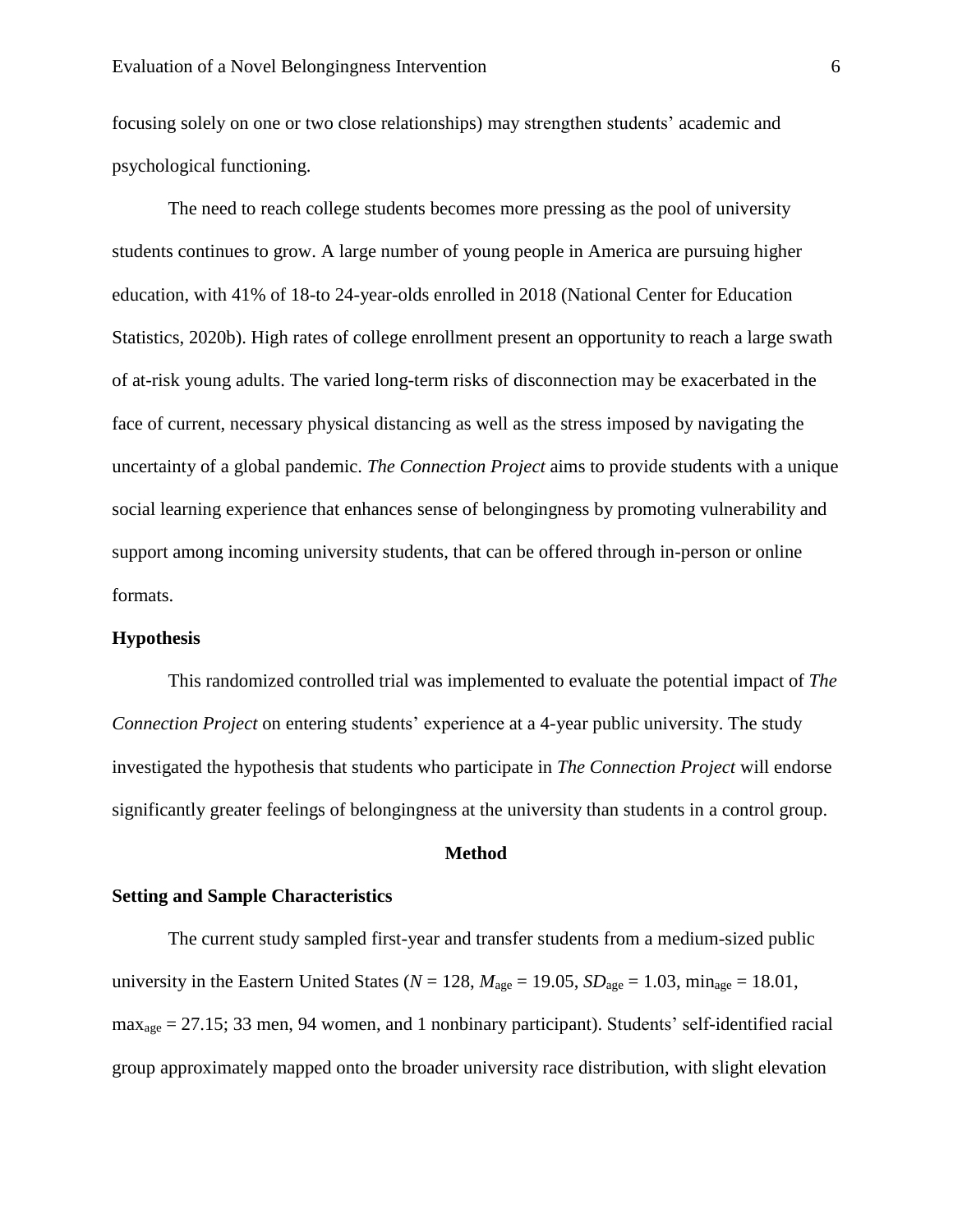focusing solely on one or two close relationships) may strengthen students' academic and psychological functioning.

The need to reach college students becomes more pressing as the pool of university students continues to grow. A large number of young people in America are pursuing higher education, with 41% of 18-to 24-year-olds enrolled in 2018 (National Center for Education Statistics, 2020b). High rates of college enrollment present an opportunity to reach a large swath of at-risk young adults. The varied long-term risks of disconnection may be exacerbated in the face of current, necessary physical distancing as well as the stress imposed by navigating the uncertainty of a global pandemic. *The Connection Project* aims to provide students with a unique social learning experience that enhances sense of belongingness by promoting vulnerability and support among incoming university students, that can be offered through in-person or online formats.

# **Hypothesis**

This randomized controlled trial was implemented to evaluate the potential impact of *The Connection Project* on entering students' experience at a 4-year public university. The study investigated the hypothesis that students who participate in *The Connection Project* will endorse significantly greater feelings of belongingness at the university than students in a control group.

# **Method**

#### **Setting and Sample Characteristics**

The current study sampled first-year and transfer students from a medium-sized public university in the Eastern United States ( $N = 128$ ,  $M_{\text{age}} = 19.05$ ,  $SD_{\text{age}} = 1.03$ ,  $\min_{\text{age}} = 18.01$ , maxage = 27.15; 33 men, 94 women, and 1 nonbinary participant). Students' self-identified racial group approximately mapped onto the broader university race distribution, with slight elevation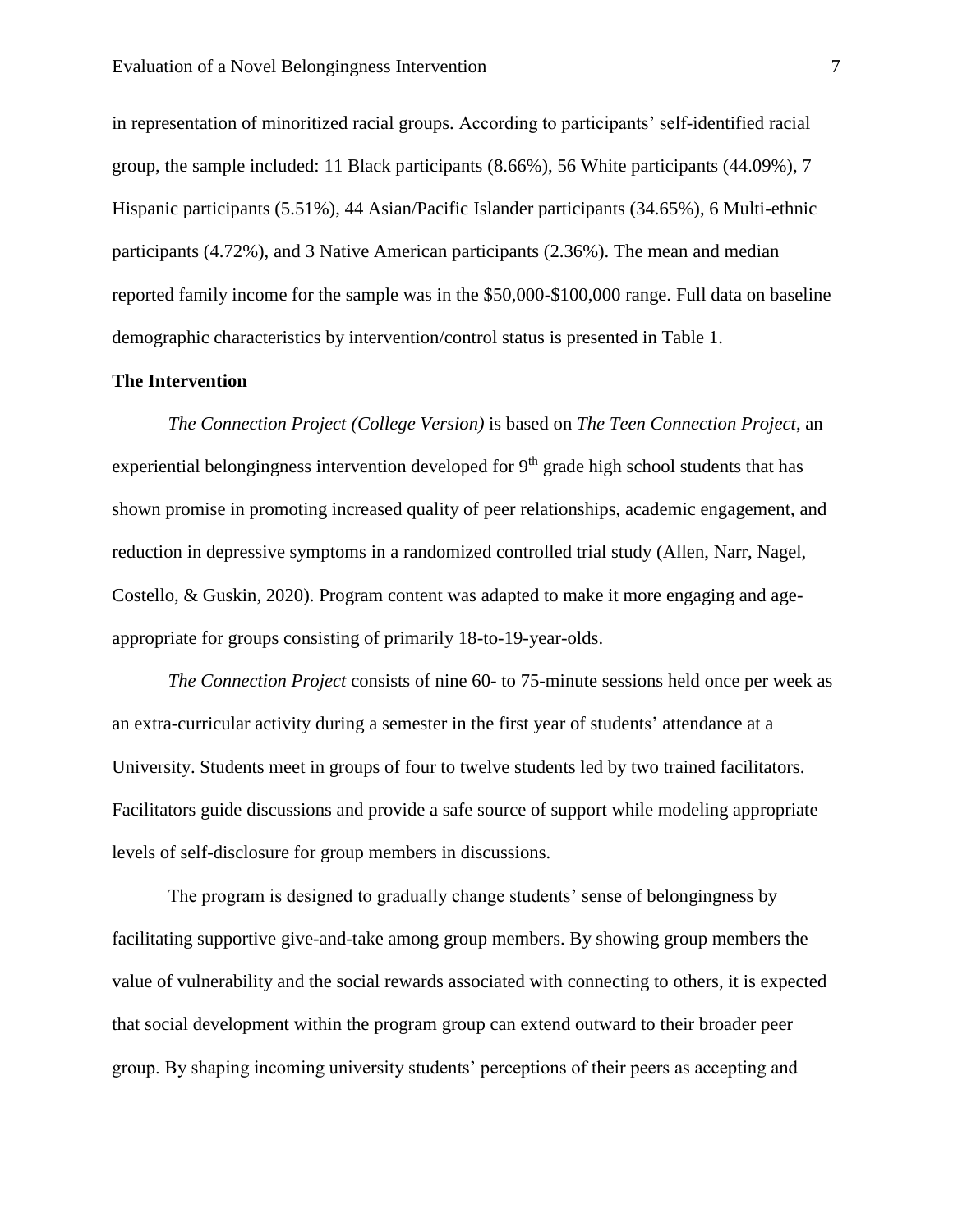in representation of minoritized racial groups. According to participants' self-identified racial group, the sample included: 11 Black participants (8.66%), 56 White participants (44.09%), 7 Hispanic participants (5.51%), 44 Asian/Pacific Islander participants (34.65%), 6 Multi-ethnic participants (4.72%), and 3 Native American participants (2.36%). The mean and median reported family income for the sample was in the \$50,000-\$100,000 range. Full data on baseline demographic characteristics by intervention/control status is presented in Table 1.

# **The Intervention**

*The Connection Project (College Version)* is based on *The Teen Connection Project*, an experiential belongingness intervention developed for  $9<sup>th</sup>$  grade high school students that has shown promise in promoting increased quality of peer relationships, academic engagement, and reduction in depressive symptoms in a randomized controlled trial study (Allen, Narr, Nagel, Costello, & Guskin, 2020). Program content was adapted to make it more engaging and ageappropriate for groups consisting of primarily 18-to-19-year-olds.

*The Connection Project* consists of nine 60- to 75-minute sessions held once per week as an extra-curricular activity during a semester in the first year of students' attendance at a University. Students meet in groups of four to twelve students led by two trained facilitators. Facilitators guide discussions and provide a safe source of support while modeling appropriate levels of self-disclosure for group members in discussions.

The program is designed to gradually change students' sense of belongingness by facilitating supportive give-and-take among group members. By showing group members the value of vulnerability and the social rewards associated with connecting to others, it is expected that social development within the program group can extend outward to their broader peer group. By shaping incoming university students' perceptions of their peers as accepting and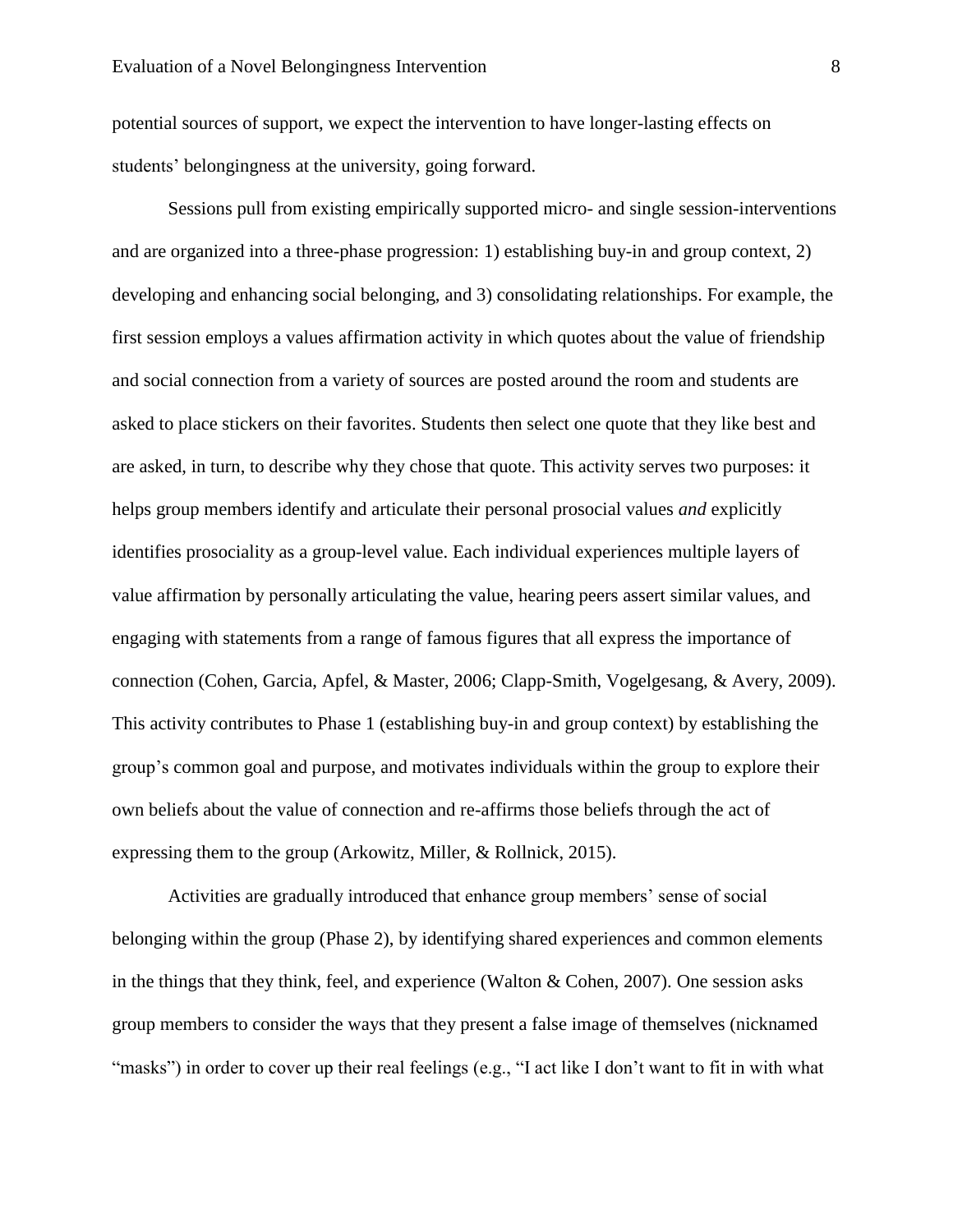potential sources of support, we expect the intervention to have longer-lasting effects on students' belongingness at the university, going forward.

Sessions pull from existing empirically supported micro- and single session-interventions and are organized into a three-phase progression: 1) establishing buy-in and group context, 2) developing and enhancing social belonging, and 3) consolidating relationships. For example, the first session employs a values affirmation activity in which quotes about the value of friendship and social connection from a variety of sources are posted around the room and students are asked to place stickers on their favorites. Students then select one quote that they like best and are asked, in turn, to describe why they chose that quote. This activity serves two purposes: it helps group members identify and articulate their personal prosocial values *and* explicitly identifies prosociality as a group-level value. Each individual experiences multiple layers of value affirmation by personally articulating the value, hearing peers assert similar values, and engaging with statements from a range of famous figures that all express the importance of connection (Cohen, Garcia, Apfel, & Master, 2006; Clapp-Smith, Vogelgesang, & Avery, 2009). This activity contributes to Phase 1 (establishing buy-in and group context) by establishing the group's common goal and purpose, and motivates individuals within the group to explore their own beliefs about the value of connection and re-affirms those beliefs through the act of expressing them to the group (Arkowitz, Miller, & Rollnick, 2015).

Activities are gradually introduced that enhance group members' sense of social belonging within the group (Phase 2), by identifying shared experiences and common elements in the things that they think, feel, and experience (Walton & Cohen, 2007). One session asks group members to consider the ways that they present a false image of themselves (nicknamed "masks") in order to cover up their real feelings (e.g., "I act like I don't want to fit in with what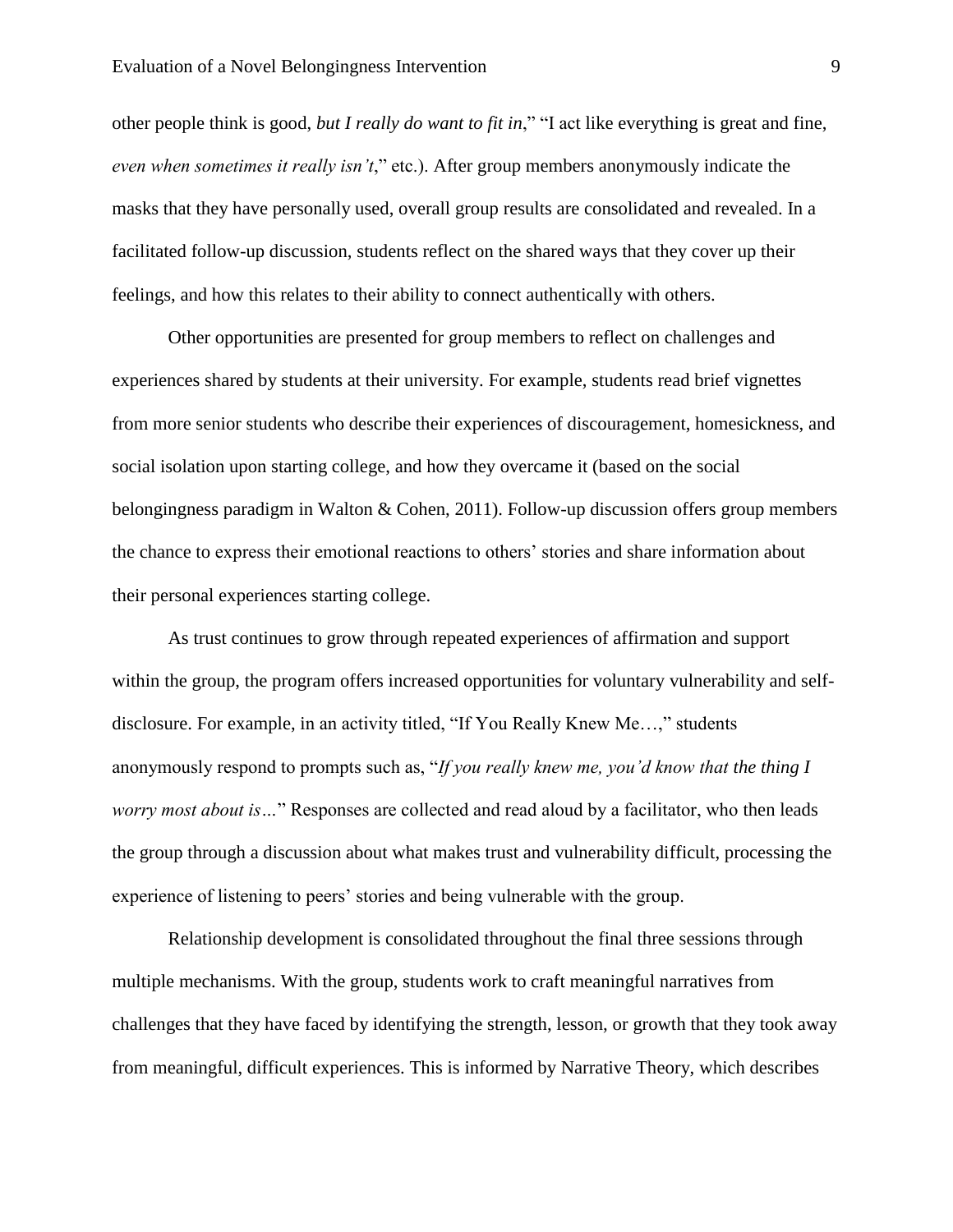other people think is good, *but I really do want to fit in*," "I act like everything is great and fine, *even when sometimes it really isn't*," etc.). After group members anonymously indicate the masks that they have personally used, overall group results are consolidated and revealed. In a facilitated follow-up discussion, students reflect on the shared ways that they cover up their feelings, and how this relates to their ability to connect authentically with others.

Other opportunities are presented for group members to reflect on challenges and experiences shared by students at their university. For example, students read brief vignettes from more senior students who describe their experiences of discouragement, homesickness, and social isolation upon starting college, and how they overcame it (based on the social belongingness paradigm in Walton & Cohen, 2011). Follow-up discussion offers group members the chance to express their emotional reactions to others' stories and share information about their personal experiences starting college.

As trust continues to grow through repeated experiences of affirmation and support within the group, the program offers increased opportunities for voluntary vulnerability and selfdisclosure. For example, in an activity titled, "If You Really Knew Me…," students anonymously respond to prompts such as, "*If you really knew me, you'd know that the thing I worry most about is…*" Responses are collected and read aloud by a facilitator, who then leads the group through a discussion about what makes trust and vulnerability difficult, processing the experience of listening to peers' stories and being vulnerable with the group.

Relationship development is consolidated throughout the final three sessions through multiple mechanisms. With the group, students work to craft meaningful narratives from challenges that they have faced by identifying the strength, lesson, or growth that they took away from meaningful, difficult experiences. This is informed by Narrative Theory, which describes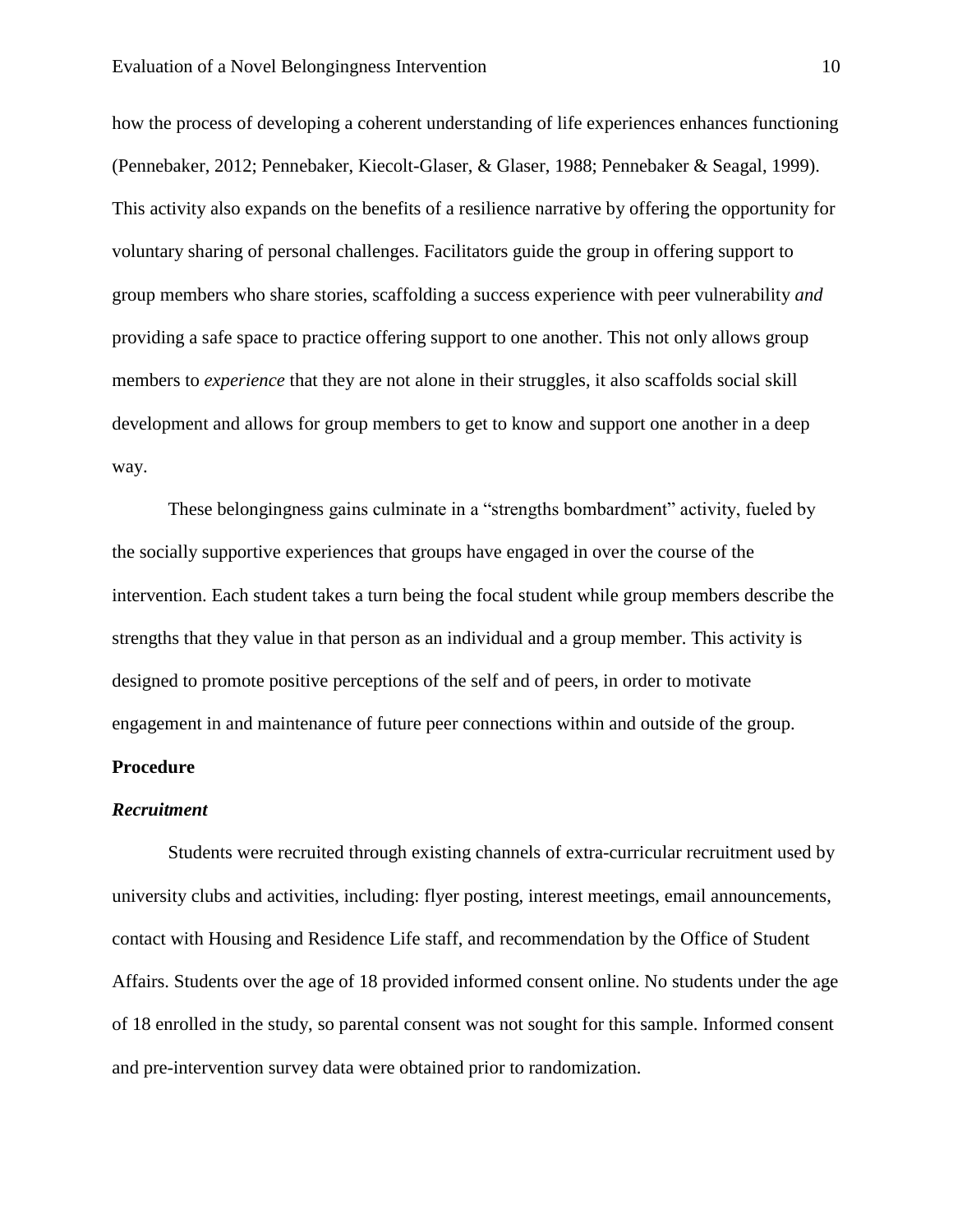how the process of developing a coherent understanding of life experiences enhances functioning (Pennebaker, 2012; Pennebaker, Kiecolt-Glaser, & Glaser, 1988; Pennebaker & Seagal, 1999). This activity also expands on the benefits of a resilience narrative by offering the opportunity for voluntary sharing of personal challenges. Facilitators guide the group in offering support to group members who share stories, scaffolding a success experience with peer vulnerability *and* providing a safe space to practice offering support to one another. This not only allows group members to *experience* that they are not alone in their struggles, it also scaffolds social skill development and allows for group members to get to know and support one another in a deep way.

These belongingness gains culminate in a "strengths bombardment" activity, fueled by the socially supportive experiences that groups have engaged in over the course of the intervention. Each student takes a turn being the focal student while group members describe the strengths that they value in that person as an individual and a group member. This activity is designed to promote positive perceptions of the self and of peers, in order to motivate engagement in and maintenance of future peer connections within and outside of the group.

# **Procedure**

#### *Recruitment*

Students were recruited through existing channels of extra-curricular recruitment used by university clubs and activities, including: flyer posting, interest meetings, email announcements, contact with Housing and Residence Life staff, and recommendation by the Office of Student Affairs. Students over the age of 18 provided informed consent online. No students under the age of 18 enrolled in the study, so parental consent was not sought for this sample. Informed consent and pre-intervention survey data were obtained prior to randomization.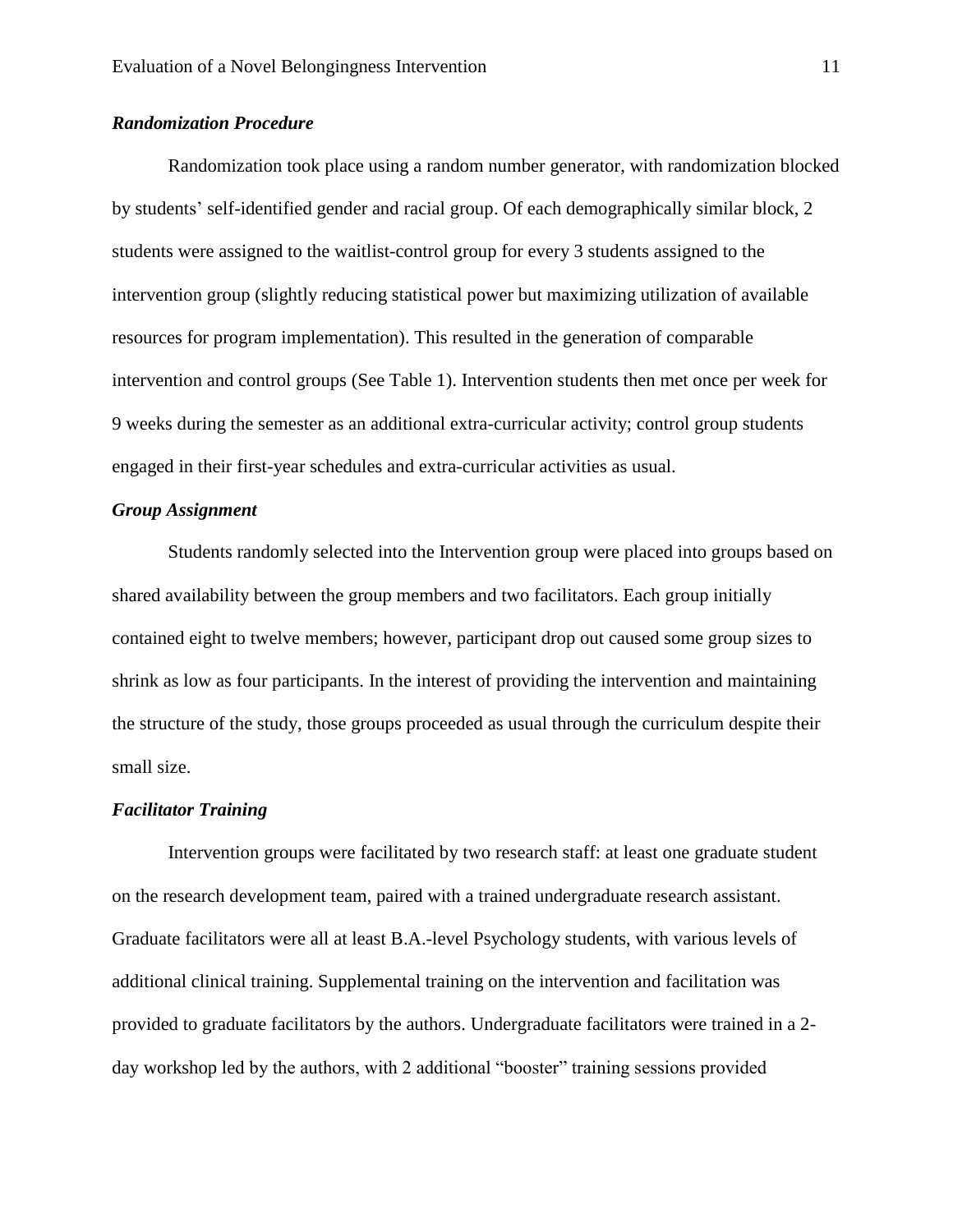# *Randomization Procedure*

Randomization took place using a random number generator, with randomization blocked by students' self-identified gender and racial group. Of each demographically similar block, 2 students were assigned to the waitlist-control group for every 3 students assigned to the intervention group (slightly reducing statistical power but maximizing utilization of available resources for program implementation). This resulted in the generation of comparable intervention and control groups (See Table 1). Intervention students then met once per week for 9 weeks during the semester as an additional extra-curricular activity; control group students engaged in their first-year schedules and extra-curricular activities as usual.

# *Group Assignment*

Students randomly selected into the Intervention group were placed into groups based on shared availability between the group members and two facilitators. Each group initially contained eight to twelve members; however, participant drop out caused some group sizes to shrink as low as four participants. In the interest of providing the intervention and maintaining the structure of the study, those groups proceeded as usual through the curriculum despite their small size.

## *Facilitator Training*

Intervention groups were facilitated by two research staff: at least one graduate student on the research development team, paired with a trained undergraduate research assistant. Graduate facilitators were all at least B.A.-level Psychology students, with various levels of additional clinical training. Supplemental training on the intervention and facilitation was provided to graduate facilitators by the authors. Undergraduate facilitators were trained in a 2 day workshop led by the authors, with 2 additional "booster" training sessions provided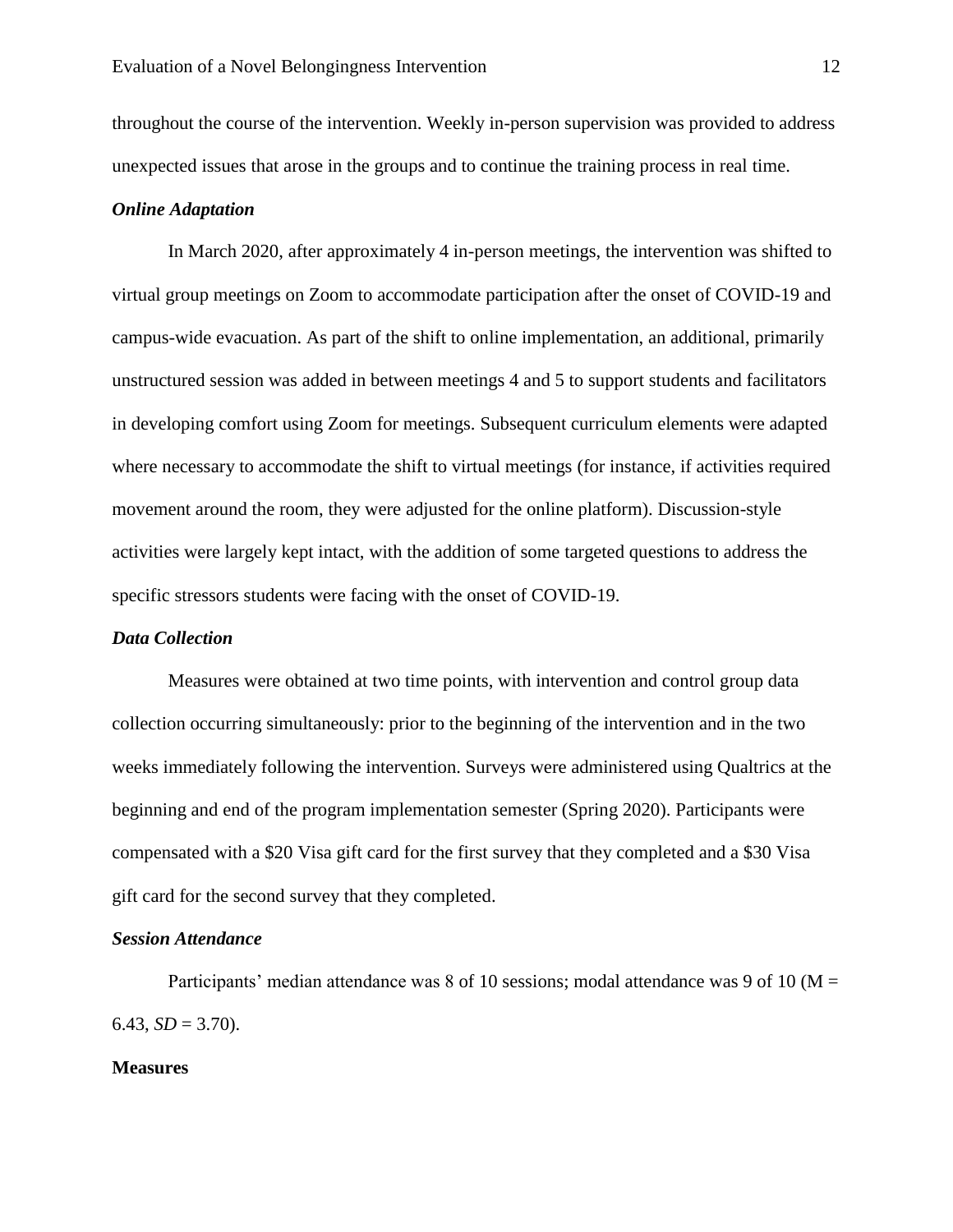throughout the course of the intervention. Weekly in-person supervision was provided to address unexpected issues that arose in the groups and to continue the training process in real time.

#### *Online Adaptation*

In March 2020, after approximately 4 in-person meetings, the intervention was shifted to virtual group meetings on Zoom to accommodate participation after the onset of COVID-19 and campus-wide evacuation. As part of the shift to online implementation, an additional, primarily unstructured session was added in between meetings 4 and 5 to support students and facilitators in developing comfort using Zoom for meetings. Subsequent curriculum elements were adapted where necessary to accommodate the shift to virtual meetings (for instance, if activities required movement around the room, they were adjusted for the online platform). Discussion-style activities were largely kept intact, with the addition of some targeted questions to address the specific stressors students were facing with the onset of COVID-19.

#### *Data Collection*

Measures were obtained at two time points, with intervention and control group data collection occurring simultaneously: prior to the beginning of the intervention and in the two weeks immediately following the intervention. Surveys were administered using Qualtrics at the beginning and end of the program implementation semester (Spring 2020). Participants were compensated with a \$20 Visa gift card for the first survey that they completed and a \$30 Visa gift card for the second survey that they completed.

## *Session Attendance*

Participants' median attendance was 8 of 10 sessions; modal attendance was 9 of 10 ( $M =$ 6.43,  $SD = 3.70$ ).

# **Measures**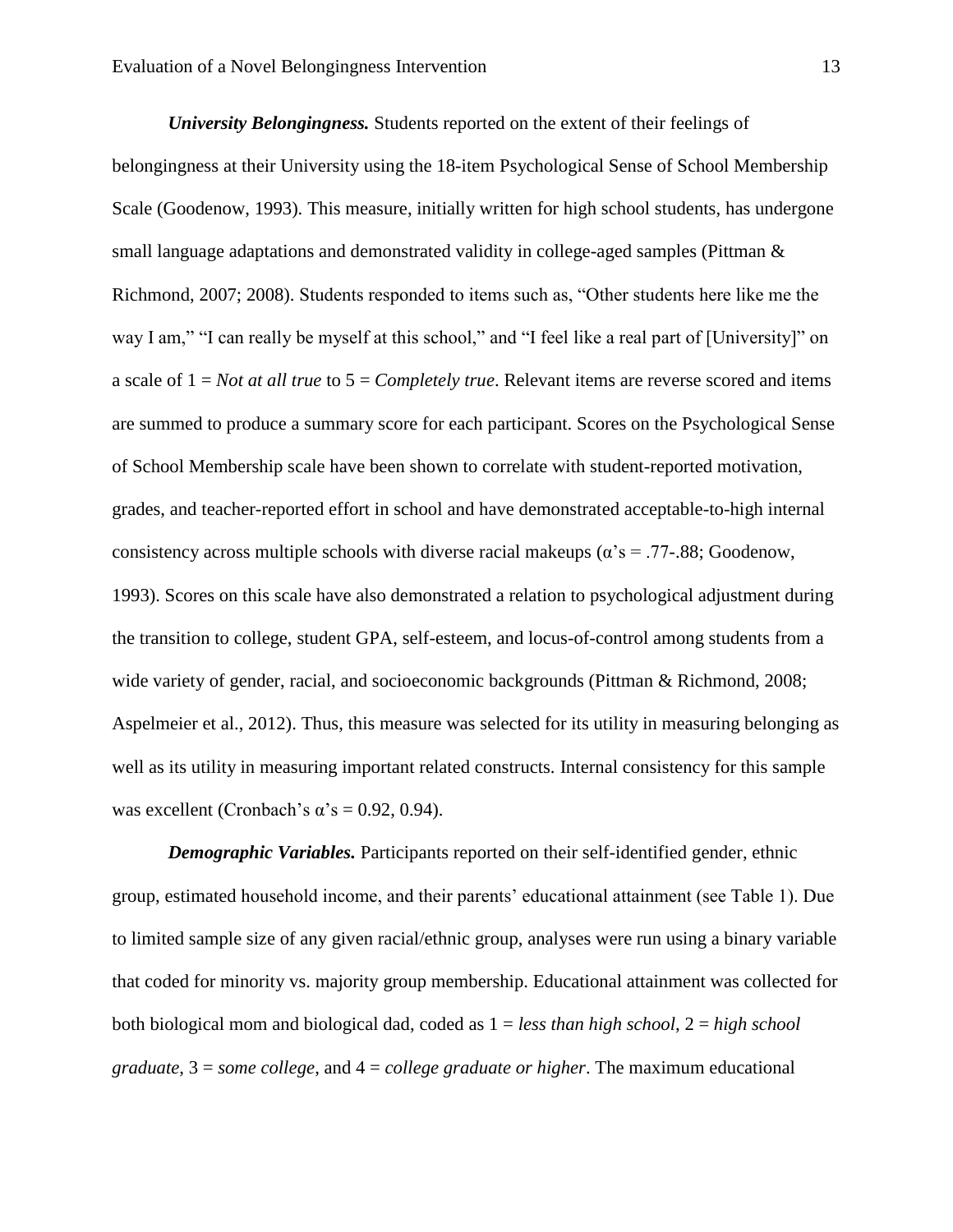*University Belongingness.* Students reported on the extent of their feelings of belongingness at their University using the 18-item Psychological Sense of School Membership Scale (Goodenow, 1993). This measure, initially written for high school students, has undergone small language adaptations and demonstrated validity in college-aged samples (Pittman & Richmond, 2007; 2008). Students responded to items such as, "Other students here like me the way I am," "I can really be myself at this school," and "I feel like a real part of [University]" on a scale of 1 = *Not at all true* to 5 = *Completely true*. Relevant items are reverse scored and items are summed to produce a summary score for each participant. Scores on the Psychological Sense of School Membership scale have been shown to correlate with student-reported motivation, grades, and teacher-reported effort in school and have demonstrated acceptable-to-high internal consistency across multiple schools with diverse racial makeups ( $\alpha$ 's = .77-.88; Goodenow, 1993). Scores on this scale have also demonstrated a relation to psychological adjustment during the transition to college, student GPA, self-esteem, and locus-of-control among students from a wide variety of gender, racial, and socioeconomic backgrounds (Pittman & Richmond, 2008; Aspelmeier et al., 2012). Thus, this measure was selected for its utility in measuring belonging as well as its utility in measuring important related constructs. Internal consistency for this sample was excellent (Cronbach's  $\alpha$ 's = 0.92, 0.94).

*Demographic Variables.* Participants reported on their self-identified gender, ethnic group, estimated household income, and their parents' educational attainment (see Table 1). Due to limited sample size of any given racial/ethnic group, analyses were run using a binary variable that coded for minority vs. majority group membership. Educational attainment was collected for both biological mom and biological dad, coded as 1 = *less than high school*, 2 = *high school graduate*, 3 = *some college*, and 4 = *college graduate or higher*. The maximum educational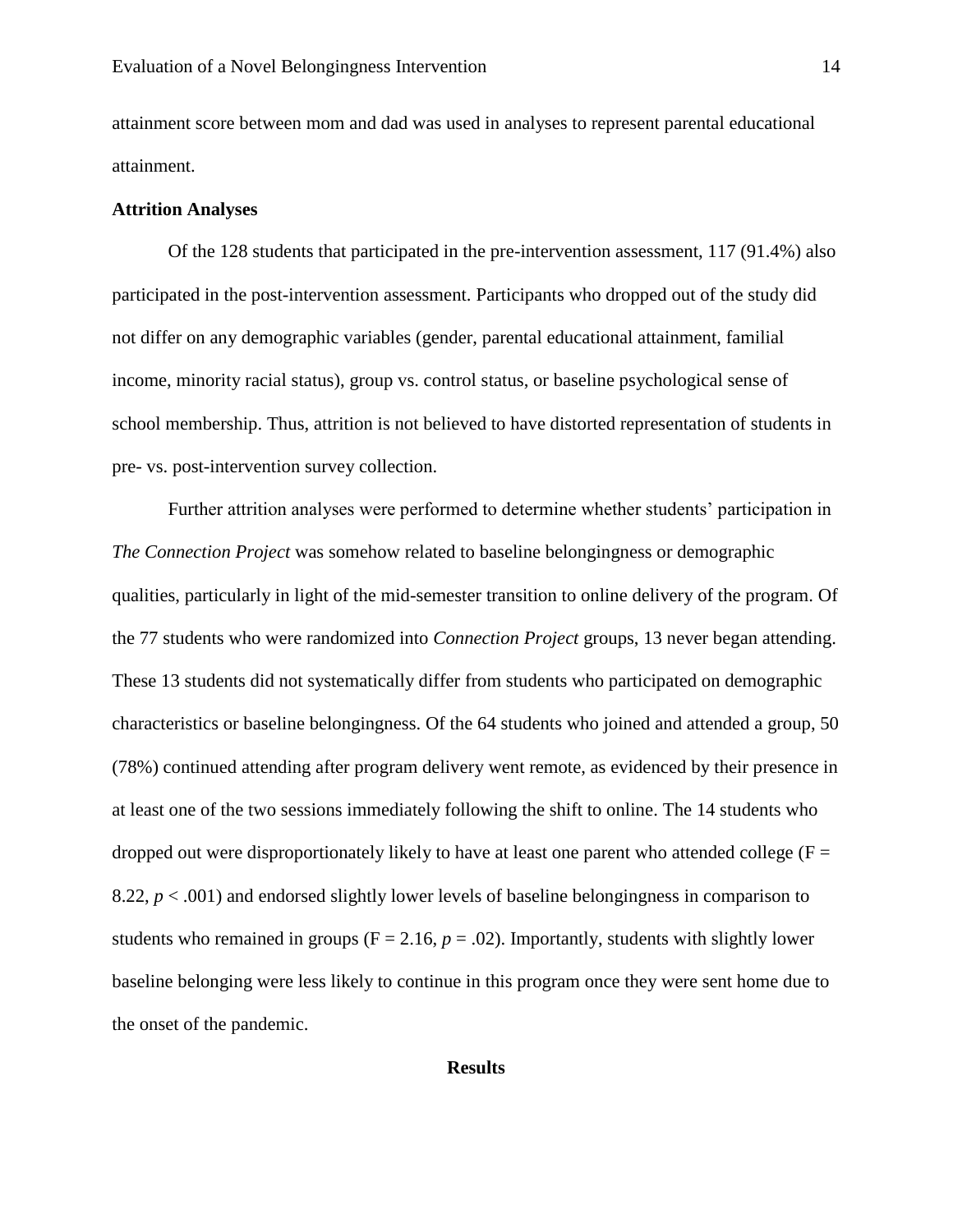attainment score between mom and dad was used in analyses to represent parental educational attainment.

#### **Attrition Analyses**

Of the 128 students that participated in the pre-intervention assessment, 117 (91.4%) also participated in the post-intervention assessment. Participants who dropped out of the study did not differ on any demographic variables (gender, parental educational attainment, familial income, minority racial status), group vs. control status, or baseline psychological sense of school membership. Thus, attrition is not believed to have distorted representation of students in pre- vs. post-intervention survey collection.

Further attrition analyses were performed to determine whether students' participation in *The Connection Project* was somehow related to baseline belongingness or demographic qualities, particularly in light of the mid-semester transition to online delivery of the program. Of the 77 students who were randomized into *Connection Project* groups, 13 never began attending. These 13 students did not systematically differ from students who participated on demographic characteristics or baseline belongingness. Of the 64 students who joined and attended a group, 50 (78%) continued attending after program delivery went remote, as evidenced by their presence in at least one of the two sessions immediately following the shift to online. The 14 students who dropped out were disproportionately likely to have at least one parent who attended college ( $F =$ 8.22, *p* < .001) and endorsed slightly lower levels of baseline belongingness in comparison to students who remained in groups ( $F = 2.16$ ,  $p = .02$ ). Importantly, students with slightly lower baseline belonging were less likely to continue in this program once they were sent home due to the onset of the pandemic.

# **Results**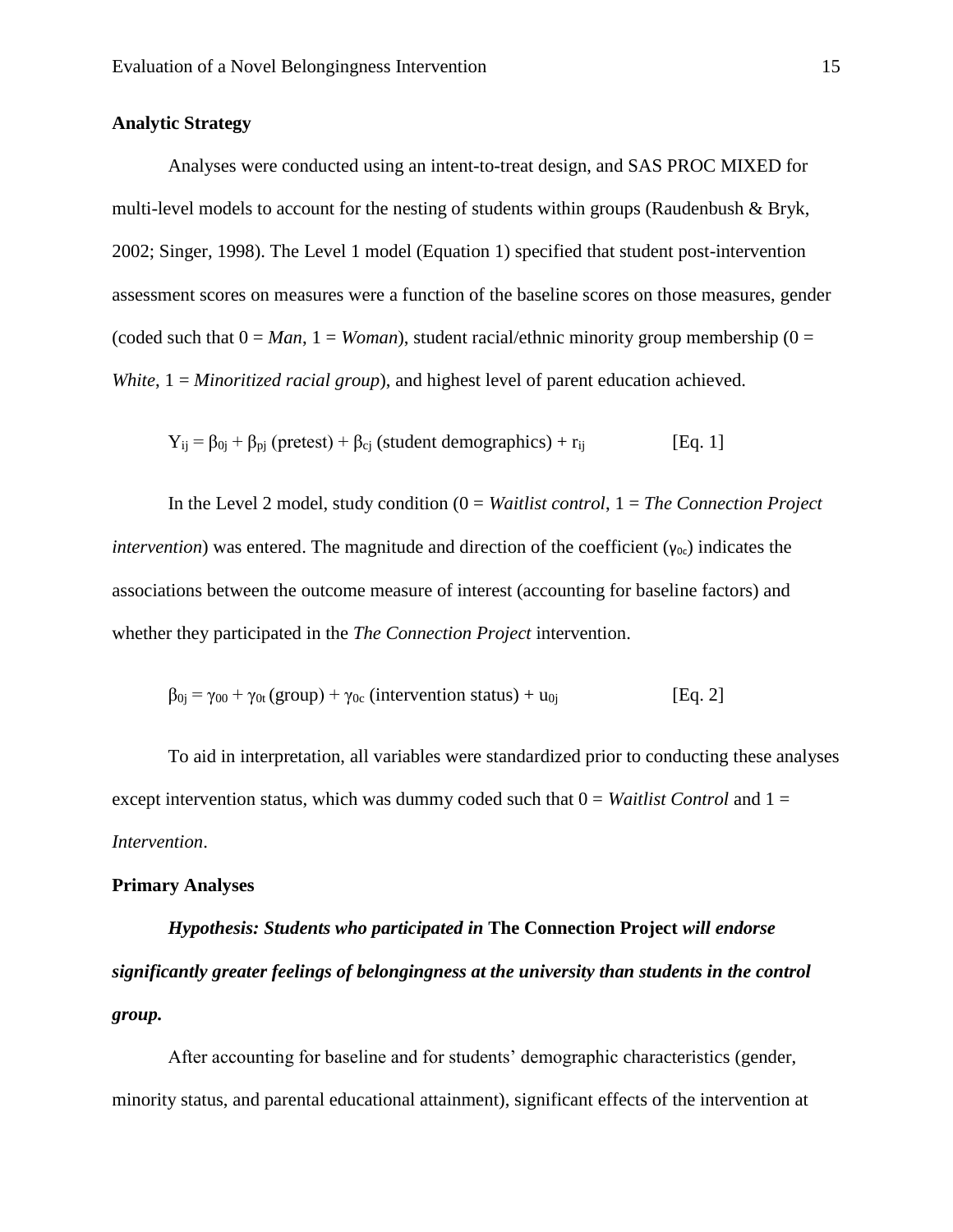# **Analytic Strategy**

Analyses were conducted using an intent-to-treat design, and SAS PROC MIXED for multi-level models to account for the nesting of students within groups (Raudenbush & Bryk, 2002; Singer, 1998). The Level 1 model (Equation 1) specified that student post-intervention assessment scores on measures were a function of the baseline scores on those measures, gender (coded such that  $0 = Man$ ,  $1 = Woman$ ), student racial/ethnic minority group membership (0 = *White*,  $1 =$ *Minoritized racial group*), and highest level of parent education achieved.

$$
Y_{ij} = \beta_{0j} + \beta_{pj} \text{ (pretest)} + \beta_{cj} \text{ (student demographics)} + r_{ij} \qquad [Eq. 1]
$$

In the Level 2 model, study condition (0 = *Waitlist control*, 1 = *The Connection Project intervention*) was entered. The magnitude and direction of the coefficient ( $y_{0c}$ ) indicates the associations between the outcome measure of interest (accounting for baseline factors) and whether they participated in the *The Connection Project* intervention.

$$
\beta_{0j} = \gamma_{00} + \gamma_{0t} (group) + \gamma_{0c} (intervention status) + u_{0j}
$$
 [Eq. 2]

To aid in interpretation, all variables were standardized prior to conducting these analyses except intervention status, which was dummy coded such that  $0 = Waitlist Control$  and  $1 =$ *Intervention*.

## **Primary Analyses**

*Hypothesis: Students who participated in* **The Connection Project** *will endorse significantly greater feelings of belongingness at the university than students in the control group.*

After accounting for baseline and for students' demographic characteristics (gender, minority status, and parental educational attainment), significant effects of the intervention at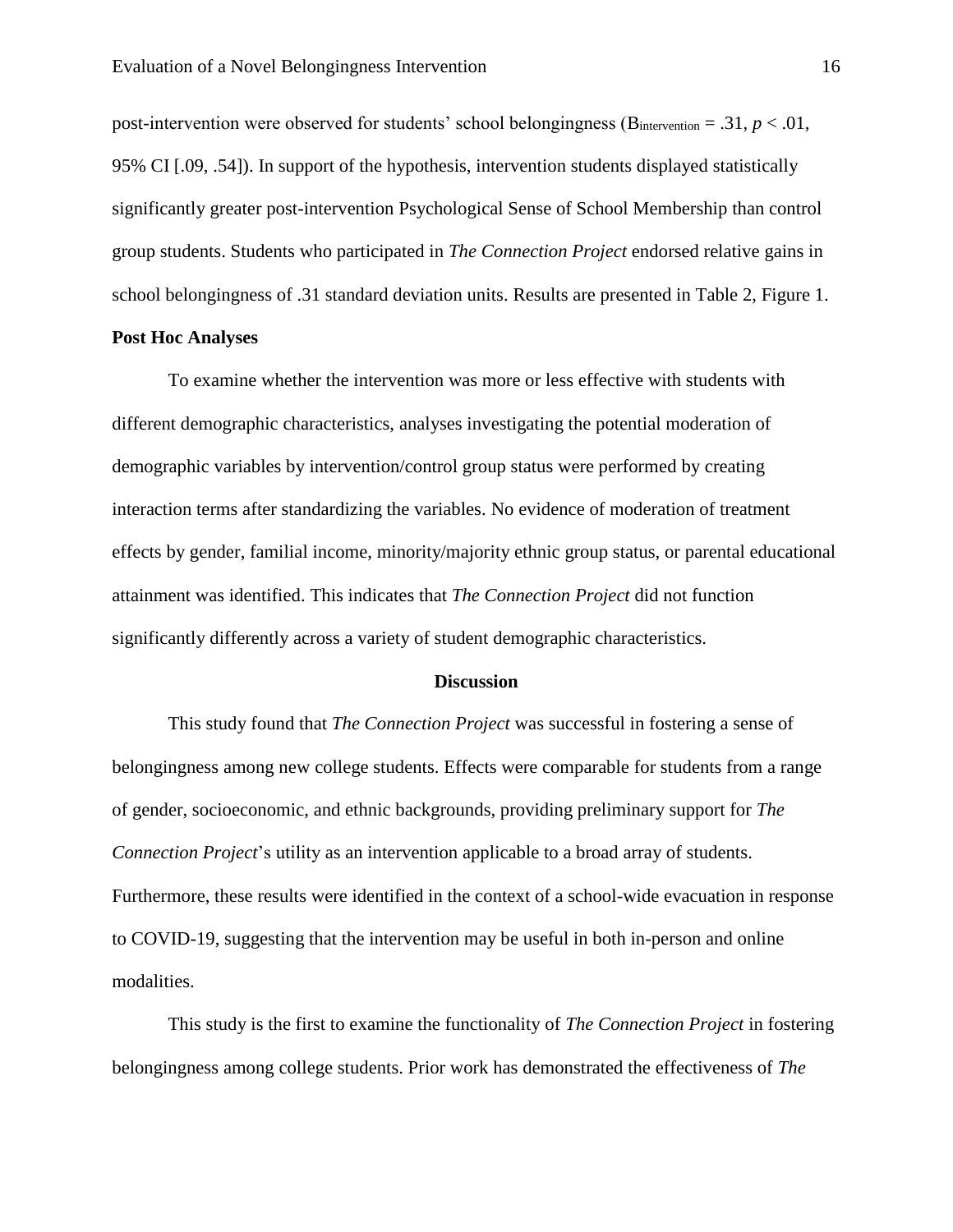post-intervention were observed for students' school belongingness ( $B<sub>intervention</sub> = .31, p < .01$ , 95% CI [.09, .54]). In support of the hypothesis, intervention students displayed statistically significantly greater post-intervention Psychological Sense of School Membership than control group students. Students who participated in *The Connection Project* endorsed relative gains in school belongingness of .31 standard deviation units. Results are presented in Table 2, Figure 1.

## **Post Hoc Analyses**

To examine whether the intervention was more or less effective with students with different demographic characteristics, analyses investigating the potential moderation of demographic variables by intervention/control group status were performed by creating interaction terms after standardizing the variables. No evidence of moderation of treatment effects by gender, familial income, minority/majority ethnic group status, or parental educational attainment was identified. This indicates that *The Connection Project* did not function significantly differently across a variety of student demographic characteristics.

#### **Discussion**

This study found that *The Connection Project* was successful in fostering a sense of belongingness among new college students. Effects were comparable for students from a range of gender, socioeconomic, and ethnic backgrounds, providing preliminary support for *The Connection Project*'s utility as an intervention applicable to a broad array of students. Furthermore, these results were identified in the context of a school-wide evacuation in response to COVID-19, suggesting that the intervention may be useful in both in-person and online modalities.

This study is the first to examine the functionality of *The Connection Project* in fostering belongingness among college students. Prior work has demonstrated the effectiveness of *The*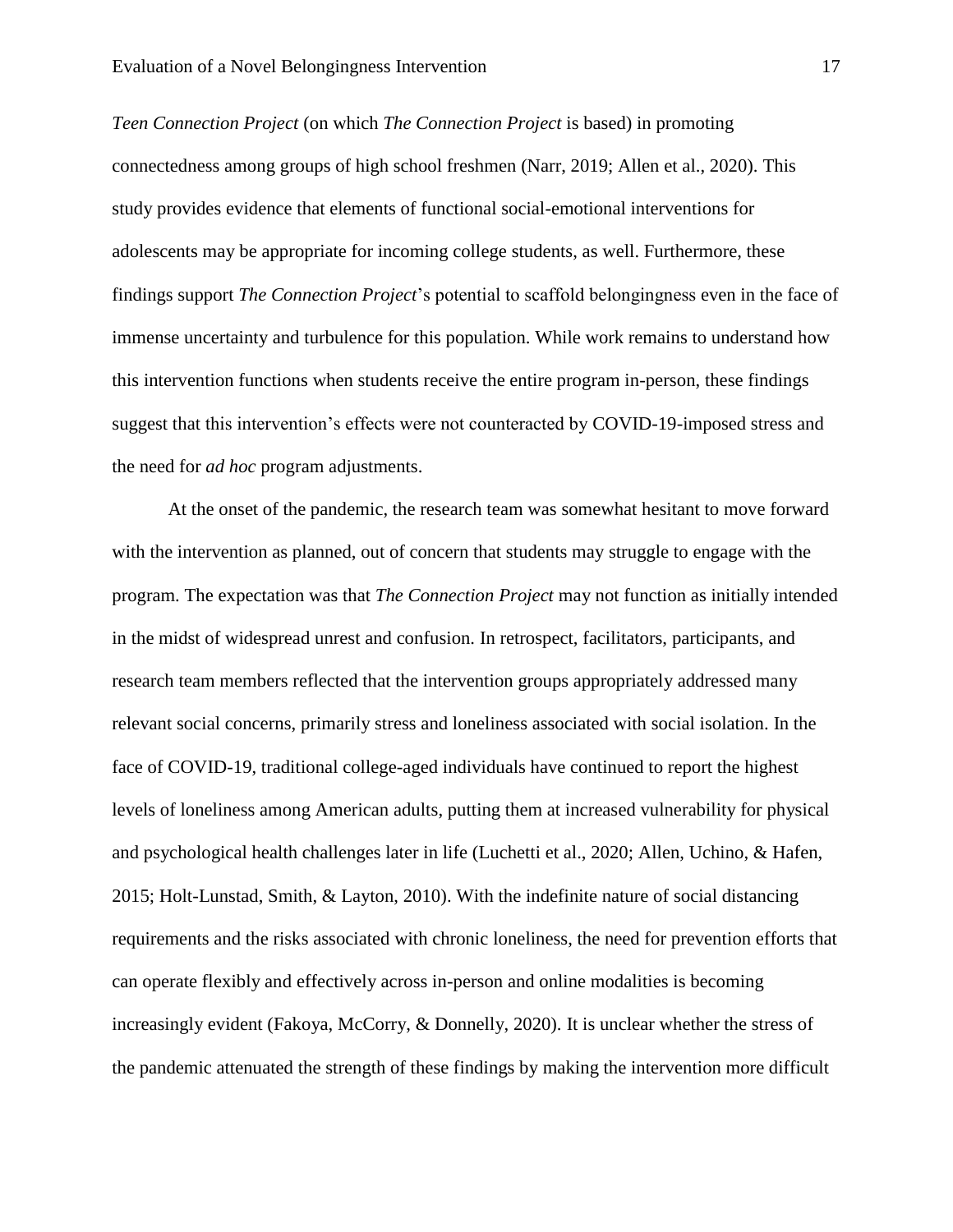*Teen Connection Project* (on which *The Connection Project* is based) in promoting connectedness among groups of high school freshmen (Narr, 2019; Allen et al., 2020). This study provides evidence that elements of functional social-emotional interventions for adolescents may be appropriate for incoming college students, as well. Furthermore, these findings support *The Connection Project*'s potential to scaffold belongingness even in the face of immense uncertainty and turbulence for this population. While work remains to understand how this intervention functions when students receive the entire program in-person, these findings suggest that this intervention's effects were not counteracted by COVID-19-imposed stress and the need for *ad hoc* program adjustments.

At the onset of the pandemic, the research team was somewhat hesitant to move forward with the intervention as planned, out of concern that students may struggle to engage with the program. The expectation was that *The Connection Project* may not function as initially intended in the midst of widespread unrest and confusion. In retrospect, facilitators, participants, and research team members reflected that the intervention groups appropriately addressed many relevant social concerns, primarily stress and loneliness associated with social isolation. In the face of COVID-19, traditional college-aged individuals have continued to report the highest levels of loneliness among American adults, putting them at increased vulnerability for physical and psychological health challenges later in life (Luchetti et al., 2020; Allen, Uchino, & Hafen, 2015; Holt-Lunstad, Smith, & Layton, 2010). With the indefinite nature of social distancing requirements and the risks associated with chronic loneliness, the need for prevention efforts that can operate flexibly and effectively across in-person and online modalities is becoming increasingly evident (Fakoya, McCorry, & Donnelly, 2020). It is unclear whether the stress of the pandemic attenuated the strength of these findings by making the intervention more difficult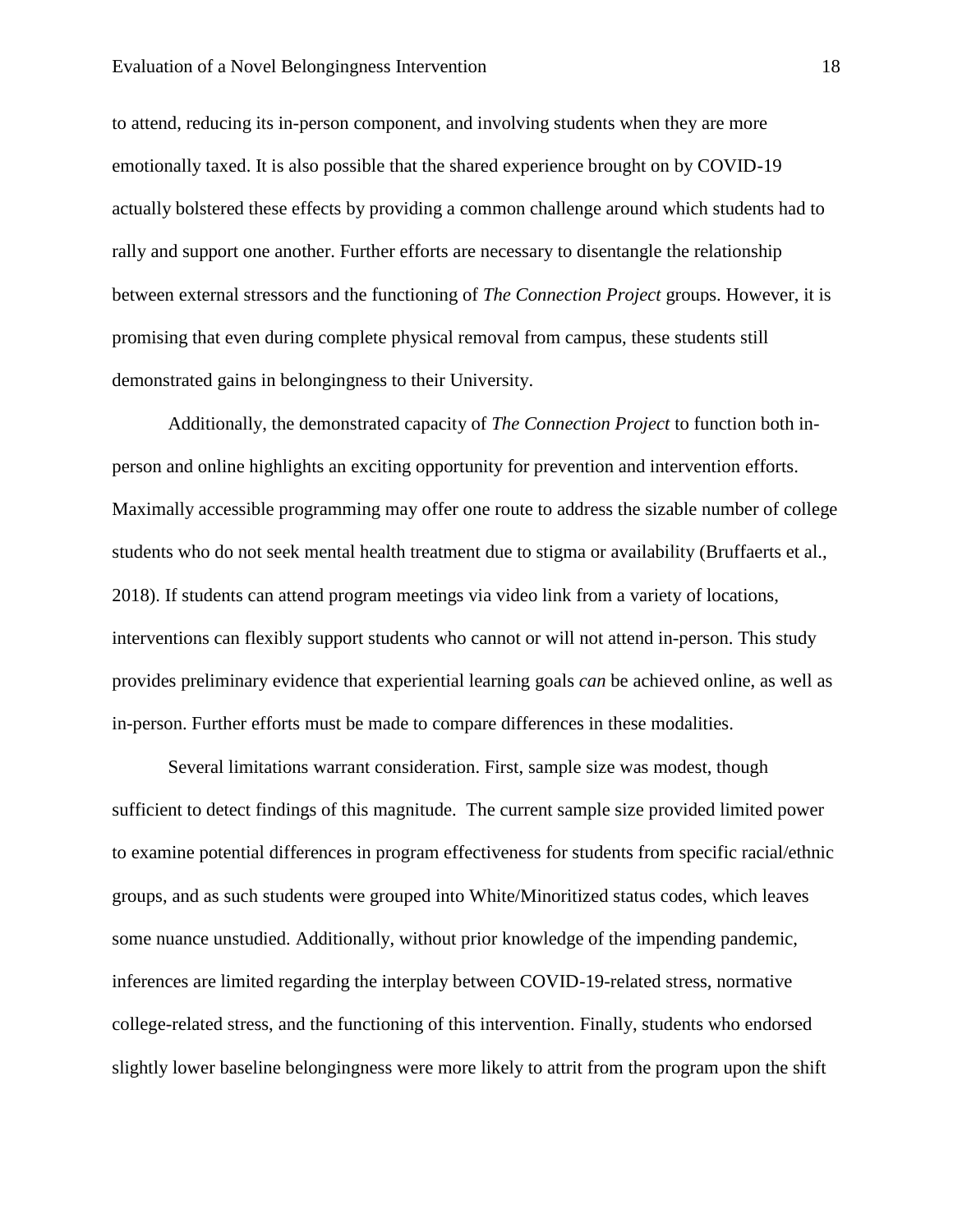to attend, reducing its in-person component, and involving students when they are more emotionally taxed. It is also possible that the shared experience brought on by COVID-19 actually bolstered these effects by providing a common challenge around which students had to rally and support one another. Further efforts are necessary to disentangle the relationship between external stressors and the functioning of *The Connection Project* groups. However, it is promising that even during complete physical removal from campus, these students still demonstrated gains in belongingness to their University.

Additionally, the demonstrated capacity of *The Connection Project* to function both inperson and online highlights an exciting opportunity for prevention and intervention efforts. Maximally accessible programming may offer one route to address the sizable number of college students who do not seek mental health treatment due to stigma or availability (Bruffaerts et al., 2018). If students can attend program meetings via video link from a variety of locations, interventions can flexibly support students who cannot or will not attend in-person. This study provides preliminary evidence that experiential learning goals *can* be achieved online, as well as in-person. Further efforts must be made to compare differences in these modalities.

Several limitations warrant consideration. First, sample size was modest, though sufficient to detect findings of this magnitude. The current sample size provided limited power to examine potential differences in program effectiveness for students from specific racial/ethnic groups, and as such students were grouped into White/Minoritized status codes, which leaves some nuance unstudied. Additionally, without prior knowledge of the impending pandemic, inferences are limited regarding the interplay between COVID-19-related stress, normative college-related stress, and the functioning of this intervention. Finally, students who endorsed slightly lower baseline belongingness were more likely to attrit from the program upon the shift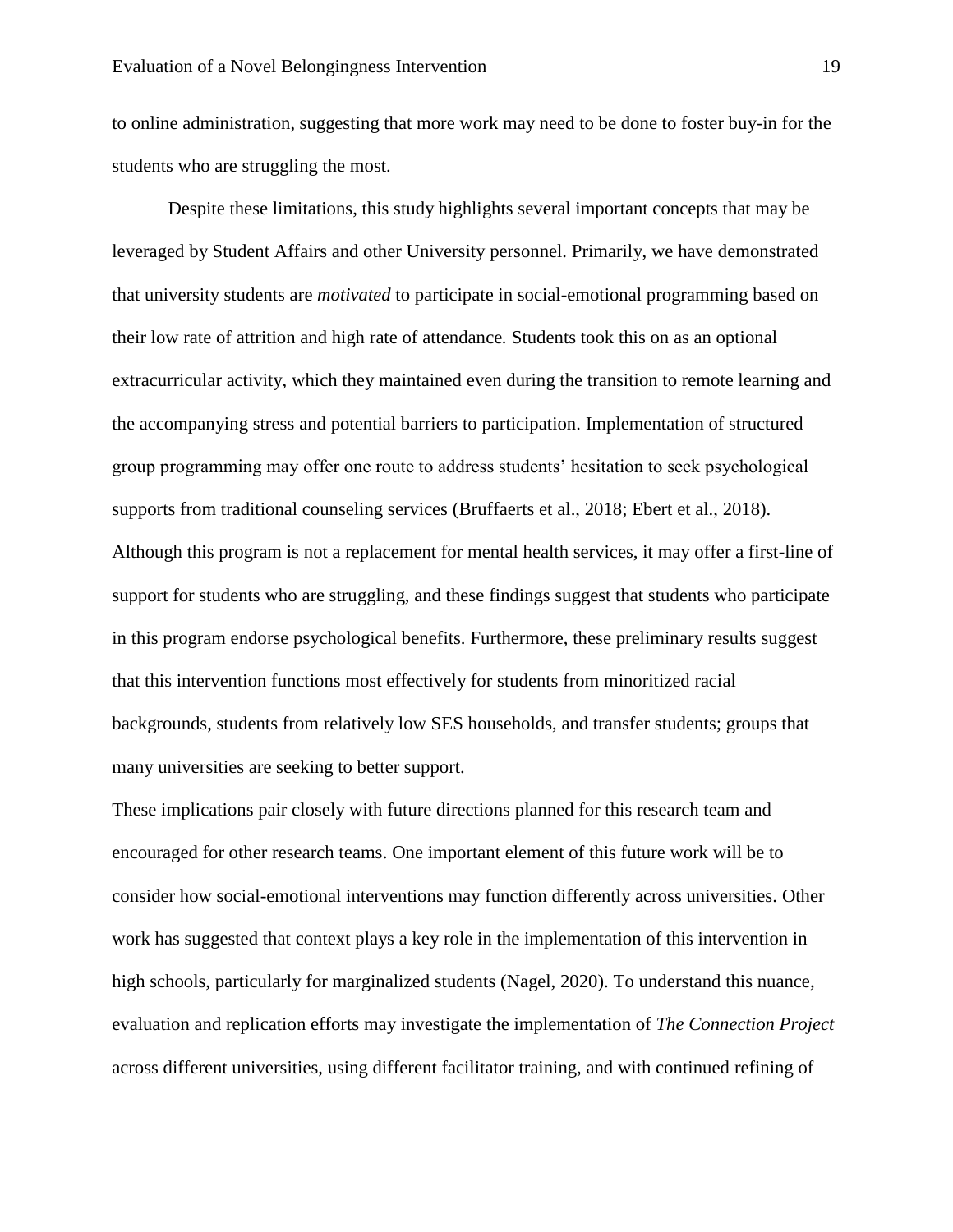to online administration, suggesting that more work may need to be done to foster buy-in for the students who are struggling the most.

Despite these limitations, this study highlights several important concepts that may be leveraged by Student Affairs and other University personnel. Primarily, we have demonstrated that university students are *motivated* to participate in social-emotional programming based on their low rate of attrition and high rate of attendance*.* Students took this on as an optional extracurricular activity, which they maintained even during the transition to remote learning and the accompanying stress and potential barriers to participation. Implementation of structured group programming may offer one route to address students' hesitation to seek psychological supports from traditional counseling services (Bruffaerts et al., 2018; Ebert et al., 2018). Although this program is not a replacement for mental health services, it may offer a first-line of support for students who are struggling, and these findings suggest that students who participate in this program endorse psychological benefits. Furthermore, these preliminary results suggest that this intervention functions most effectively for students from minoritized racial backgrounds, students from relatively low SES households, and transfer students; groups that many universities are seeking to better support.

These implications pair closely with future directions planned for this research team and encouraged for other research teams. One important element of this future work will be to consider how social-emotional interventions may function differently across universities. Other work has suggested that context plays a key role in the implementation of this intervention in high schools, particularly for marginalized students (Nagel, 2020). To understand this nuance, evaluation and replication efforts may investigate the implementation of *The Connection Project* across different universities, using different facilitator training, and with continued refining of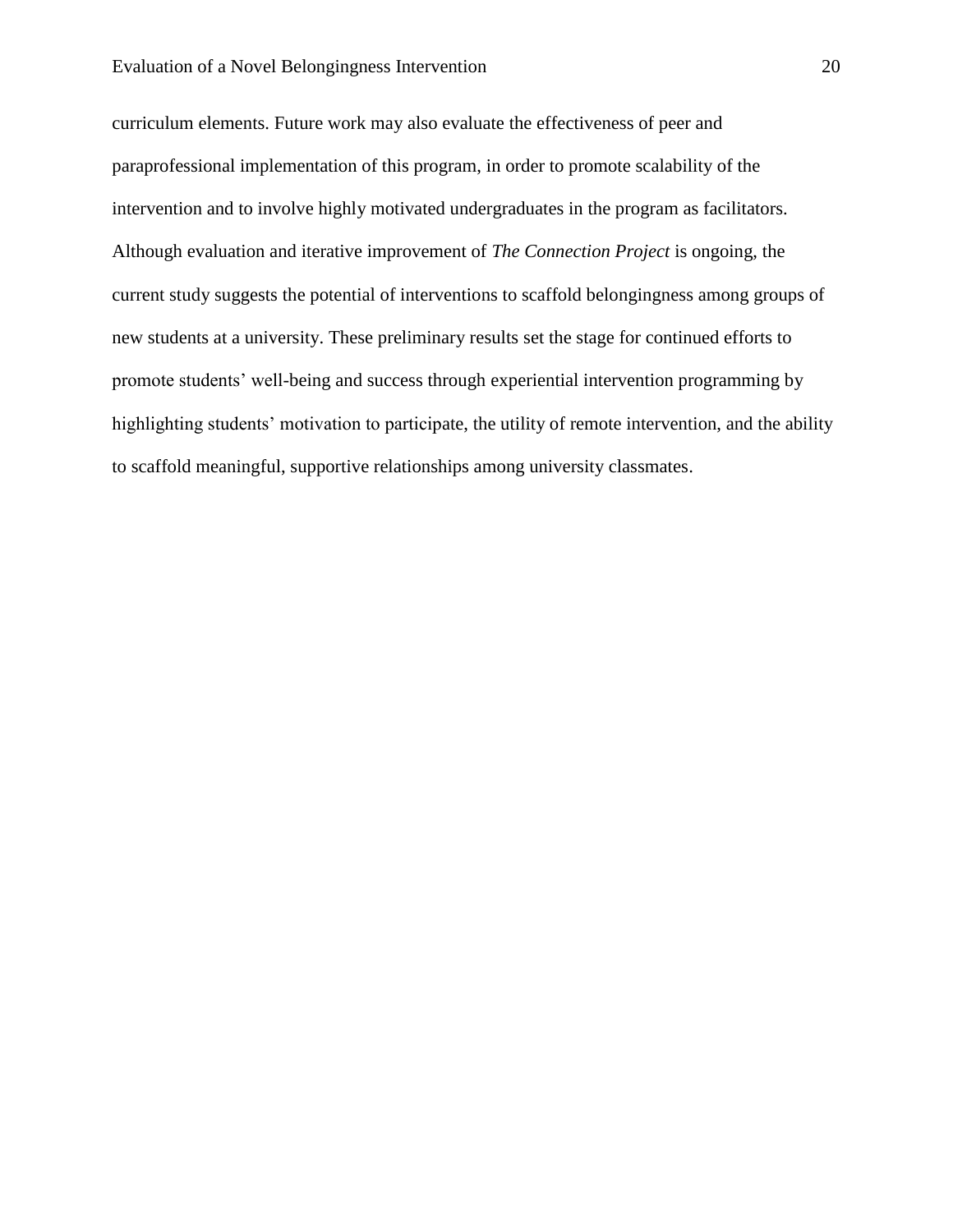#### Evaluation of a Novel Belongingness Intervention 20

curriculum elements. Future work may also evaluate the effectiveness of peer and paraprofessional implementation of this program, in order to promote scalability of the intervention and to involve highly motivated undergraduates in the program as facilitators. Although evaluation and iterative improvement of *The Connection Project* is ongoing, the current study suggests the potential of interventions to scaffold belongingness among groups of new students at a university. These preliminary results set the stage for continued efforts to promote students' well-being and success through experiential intervention programming by highlighting students' motivation to participate, the utility of remote intervention, and the ability to scaffold meaningful, supportive relationships among university classmates.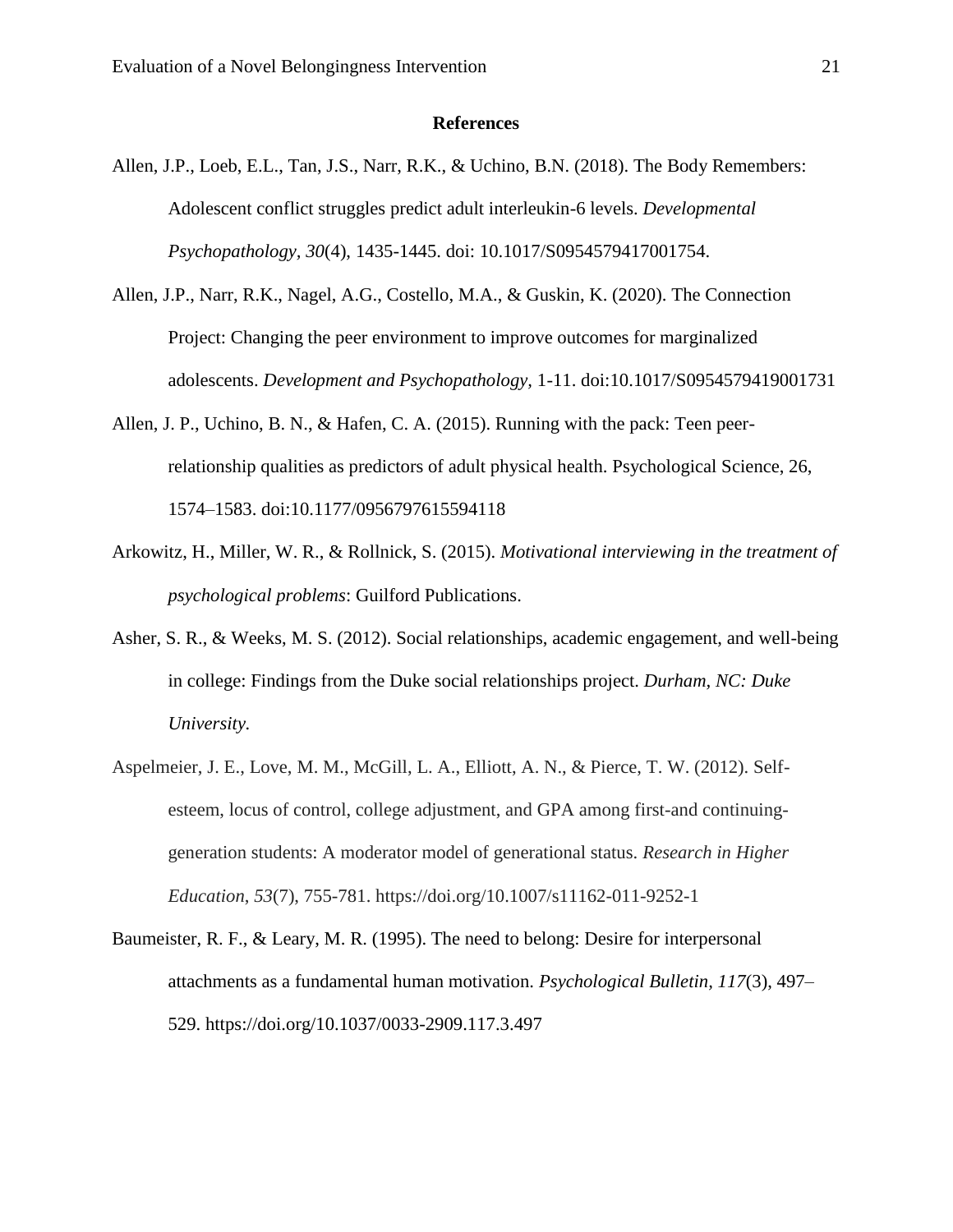#### **References**

- Allen, J.P., Loeb, E.L., Tan, J.S., Narr, R.K., & Uchino, B.N. (2018). The Body Remembers: Adolescent conflict struggles predict adult interleukin-6 levels. *Developmental Psychopathology, 30*(4), 1435-1445. doi: 10.1017/S0954579417001754.
- Allen, J.P., Narr, R.K., Nagel, A.G., Costello, M.A., & Guskin, K. (2020). The Connection Project: Changing the peer environment to improve outcomes for marginalized adolescents. *Development and Psychopathology,* 1-11. doi:10.1017/S0954579419001731
- Allen, J. P., Uchino, B. N., & Hafen, C. A. (2015). Running with the pack: Teen peerrelationship qualities as predictors of adult physical health. Psychological Science, 26, 1574–1583. doi:10.1177/0956797615594118
- Arkowitz, H., Miller, W. R., & Rollnick, S. (2015). *Motivational interviewing in the treatment of psychological problems*: Guilford Publications.
- Asher, S. R., & Weeks, M. S. (2012). Social relationships, academic engagement, and well-being in college: Findings from the Duke social relationships project. *Durham, NC: Duke University.*
- Aspelmeier, J. E., Love, M. M., McGill, L. A., Elliott, A. N., & Pierce, T. W. (2012). Selfesteem, locus of control, college adjustment, and GPA among first-and continuinggeneration students: A moderator model of generational status. *Research in Higher Education*, *53*(7), 755-781. https://doi.org/10.1007/s11162-011-9252-1
- Baumeister, R. F., & Leary, M. R. (1995). The need to belong: Desire for interpersonal attachments as a fundamental human motivation. *Psychological Bulletin, 117*(3), 497– 529. https://doi.org/10.1037/0033-2909.117.3.497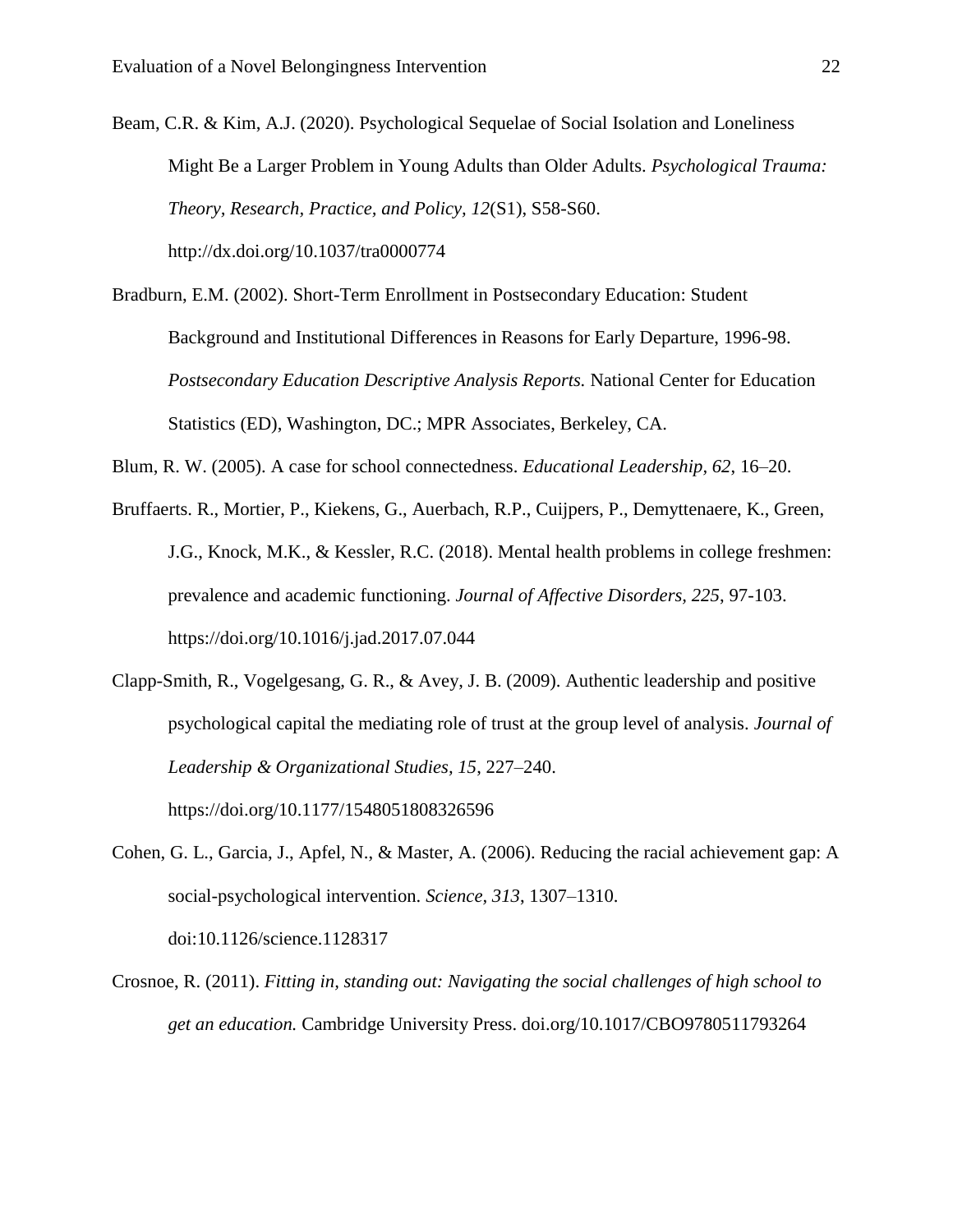Beam, C.R. & Kim, A.J. (2020). Psychological Sequelae of Social Isolation and Loneliness Might Be a Larger Problem in Young Adults than Older Adults. *Psychological Trauma: Theory, Research, Practice, and Policy, 12*(S1), S58-S60. http://dx.doi.org/10.1037/tra0000774

Bradburn, E.M. (2002). Short-Term Enrollment in Postsecondary Education: Student Background and Institutional Differences in Reasons for Early Departure, 1996-98. *Postsecondary Education Descriptive Analysis Reports.* National Center for Education Statistics (ED), Washington, DC.; MPR Associates, Berkeley, CA.

Blum, R. W. (2005). A case for school connectedness. *Educational Leadership, 62*, 16–20.

Bruffaerts. R., Mortier, P., Kiekens, G., Auerbach, R.P., Cuijpers, P., Demyttenaere, K., Green, J.G., Knock, M.K., & Kessler, R.C. (2018). Mental health problems in college freshmen: prevalence and academic functioning. *Journal of Affective Disorders, 225*, 97-103. https://doi.org/10.1016/j.jad.2017.07.044

Clapp-Smith, R., Vogelgesang, G. R., & Avey, J. B. (2009). Authentic leadership and positive psychological capital the mediating role of trust at the group level of analysis. *Journal of Leadership & Organizational Studies, 15*, 227–240. https://doi.org/10.1177/1548051808326596

Cohen, G. L., Garcia, J., Apfel, N., & Master, A. (2006). Reducing the racial achievement gap: A social-psychological intervention. *Science, 313*, 1307–1310. doi:10.1126/science.1128317

Crosnoe, R. (2011). *Fitting in, standing out: Navigating the social challenges of high school to get an education.* Cambridge University Press. doi.org/10.1017/CBO9780511793264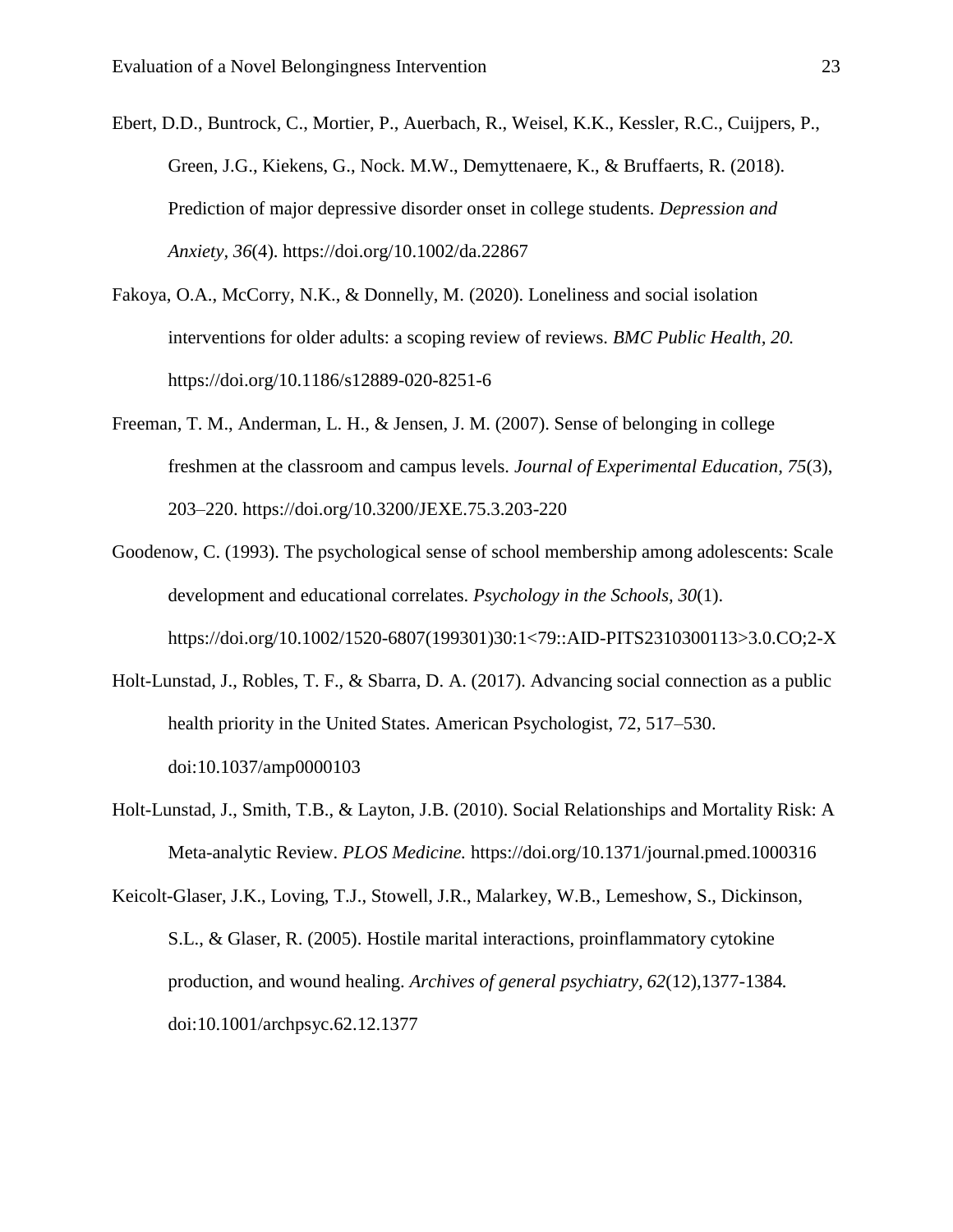Ebert, D.D., Buntrock, C., Mortier, P., Auerbach, R., Weisel, K.K., Kessler, R.C., Cuijpers, P., Green, J.G., Kiekens, G., Nock. M.W., Demyttenaere, K., & Bruffaerts, R. (2018). Prediction of major depressive disorder onset in college students. *Depression and Anxiety, 36*(4). https://doi.org/10.1002/da.22867

- Fakoya, O.A., McCorry, N.K., & Donnelly, M. (2020). Loneliness and social isolation interventions for older adults: a scoping review of reviews. *BMC Public Health, 20.* https://doi.org/10.1186/s12889-020-8251-6
- Freeman, T. M., Anderman, L. H., & Jensen, J. M. (2007). Sense of belonging in college freshmen at the classroom and campus levels. *Journal of Experimental Education, 75*(3), 203–220. https://doi.org/10.3200/JEXE.75.3.203-220
- Goodenow, C. (1993). The psychological sense of school membership among adolescents: Scale development and educational correlates. *Psychology in the Schools, 30*(1). https://doi.org/10.1002/1520-6807(199301)30:1<79::AID-PITS2310300113>3.0.CO;2-X
- Holt-Lunstad, J., Robles, T. F., & Sbarra, D. A. (2017). Advancing social connection as a public health priority in the United States. American Psychologist, 72, 517–530. doi:10.1037/amp0000103
- Holt-Lunstad, J., Smith, T.B., & Layton, J.B. (2010). Social Relationships and Mortality Risk: A Meta-analytic Review. *PLOS Medicine.* https://doi.org/10.1371/journal.pmed.1000316

Keicolt-Glaser, J.K., Loving, T.J., Stowell, J.R., Malarkey, W.B., Lemeshow, S., Dickinson, S.L., & Glaser, R. (2005). Hostile marital interactions, proinflammatory cytokine production, and wound healing. *Archives of general psychiatry, 62*(12),1377-1384*.*  doi:10.1001/archpsyc.62.12.1377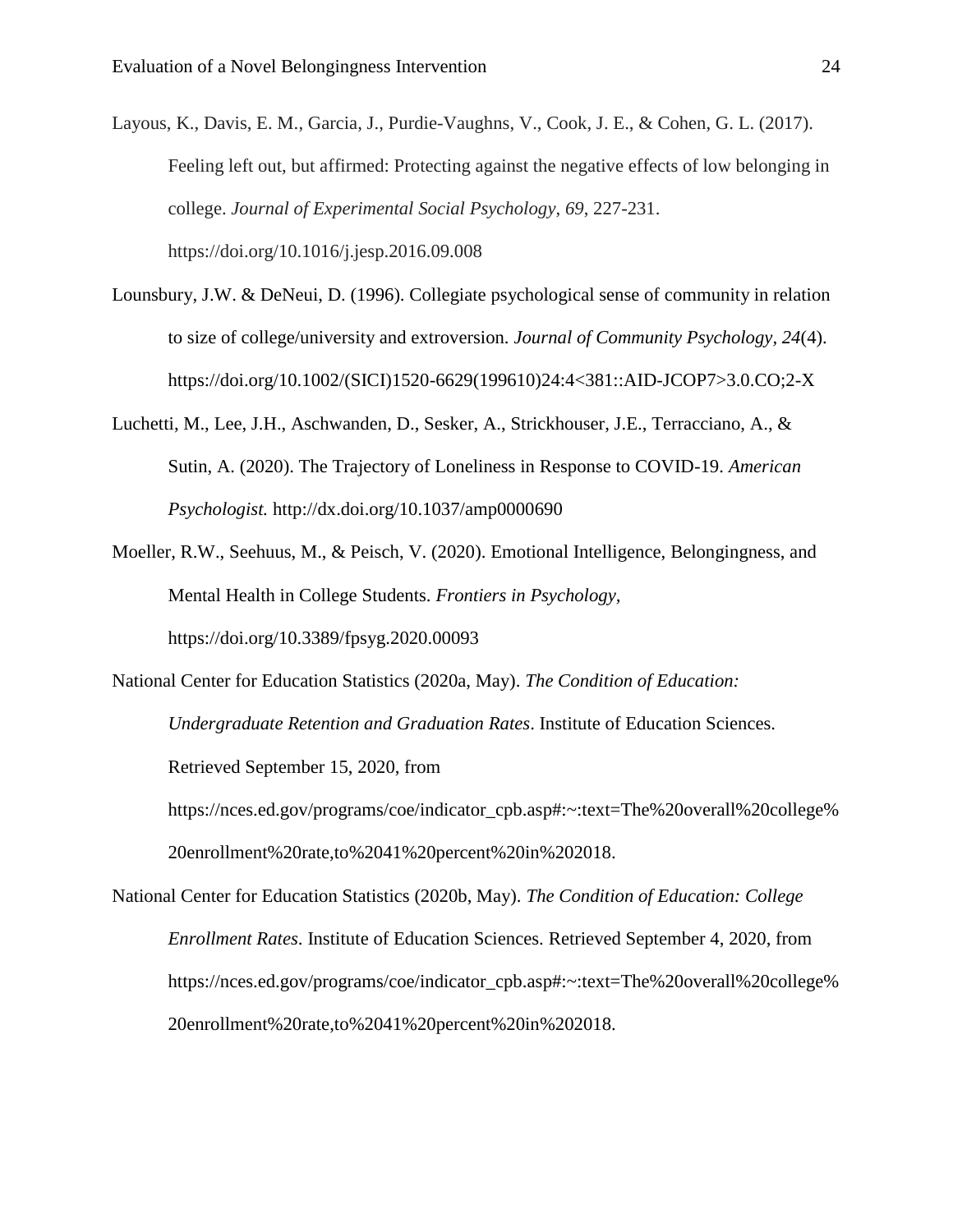Layous, K., Davis, E. M., Garcia, J., Purdie-Vaughns, V., Cook, J. E., & Cohen, G. L. (2017). Feeling left out, but affirmed: Protecting against the negative effects of low belonging in college. *Journal of Experimental Social Psychology*, *69*, 227-231. https://doi.org/10.1016/j.jesp.2016.09.008

- Lounsbury, J.W. & DeNeui, D. (1996). Collegiate psychological sense of community in relation to size of college/university and extroversion. *Journal of Community Psychology, 24*(4). https://doi.org/10.1002/(SICI)1520-6629(199610)24:4<381::AID-JCOP7>3.0.CO;2-X
- Luchetti, M., Lee, J.H., Aschwanden, D., Sesker, A., Strickhouser, J.E., Terracciano, A., & Sutin, A. (2020). The Trajectory of Loneliness in Response to COVID-19. *American Psychologist.* http://dx.doi.org/10.1037/amp0000690
- Moeller, R.W., Seehuus, M., & Peisch, V. (2020). Emotional Intelligence, Belongingness, and Mental Health in College Students. *Frontiers in Psychology,*  https://doi.org/10.3389/fpsyg.2020.00093

National Center for Education Statistics (2020a, May). *The Condition of Education: Undergraduate Retention and Graduation Rates*. Institute of Education Sciences. Retrieved September 15, 2020, from https://nces.ed.gov/programs/coe/indicator\_cpb.asp#:~:text=The%20overall%20college% 20enrollment%20rate,to%2041%20percent%20in%202018.

National Center for Education Statistics (2020b, May). *The Condition of Education: College Enrollment Rates*. Institute of Education Sciences. Retrieved September 4, 2020, from https://nces.ed.gov/programs/coe/indicator\_cpb.asp#:~:text=The%20overall%20college% 20enrollment%20rate,to%2041%20percent%20in%202018.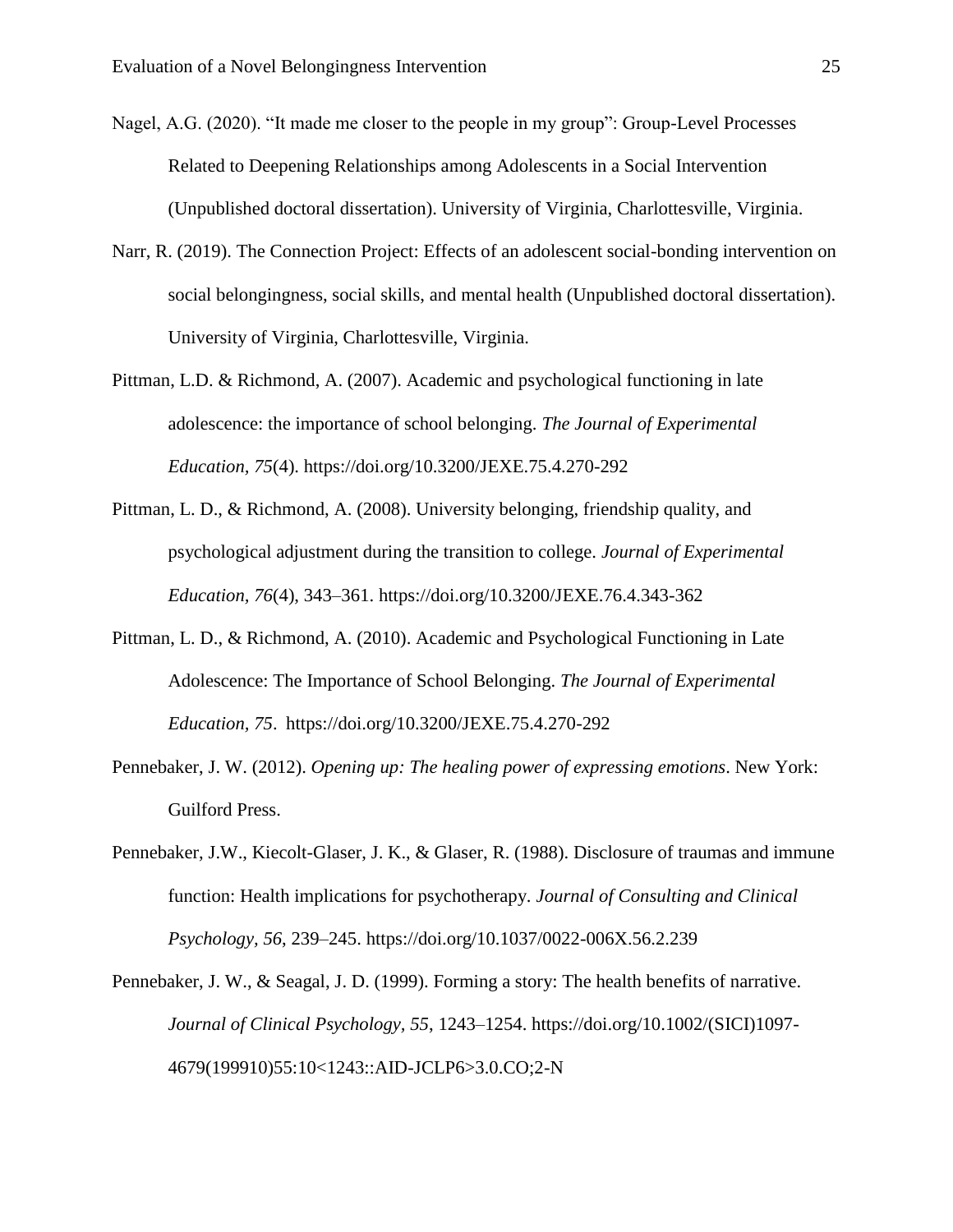- Nagel, A.G. (2020). "It made me closer to the people in my group": Group-Level Processes Related to Deepening Relationships among Adolescents in a Social Intervention (Unpublished doctoral dissertation). University of Virginia, Charlottesville, Virginia.
- Narr, R. (2019). The Connection Project: Effects of an adolescent social-bonding intervention on social belongingness, social skills, and mental health (Unpublished doctoral dissertation). University of Virginia, Charlottesville, Virginia.
- Pittman, L.D. & Richmond, A. (2007). Academic and psychological functioning in late adolescence: the importance of school belonging. *The Journal of Experimental Education, 75*(4). https://doi.org/10.3200/JEXE.75.4.270-292
- Pittman, L. D., & Richmond, A. (2008). University belonging, friendship quality, and psychological adjustment during the transition to college. *Journal of Experimental Education, 76*(4), 343–361. https://doi.org/10.3200/JEXE.76.4.343-362
- Pittman, L. D., & Richmond, A. (2010). Academic and Psychological Functioning in Late Adolescence: The Importance of School Belonging. *The Journal of Experimental Education, 75*. https://doi.org/10.3200/JEXE.75.4.270-292
- Pennebaker, J. W. (2012). *Opening up: The healing power of expressing emotions*. New York: Guilford Press.
- Pennebaker, J.W., Kiecolt-Glaser, J. K., & Glaser, R. (1988). Disclosure of traumas and immune function: Health implications for psychotherapy. *Journal of Consulting and Clinical Psychology, 56*, 239–245. https://doi.org/10.1037/0022-006X.56.2.239
- Pennebaker, J. W., & Seagal, J. D. (1999). Forming a story: The health benefits of narrative. *Journal of Clinical Psychology, 55*, 1243–1254. https://doi.org/10.1002/(SICI)1097- 4679(199910)55:10<1243::AID-JCLP6>3.0.CO;2-N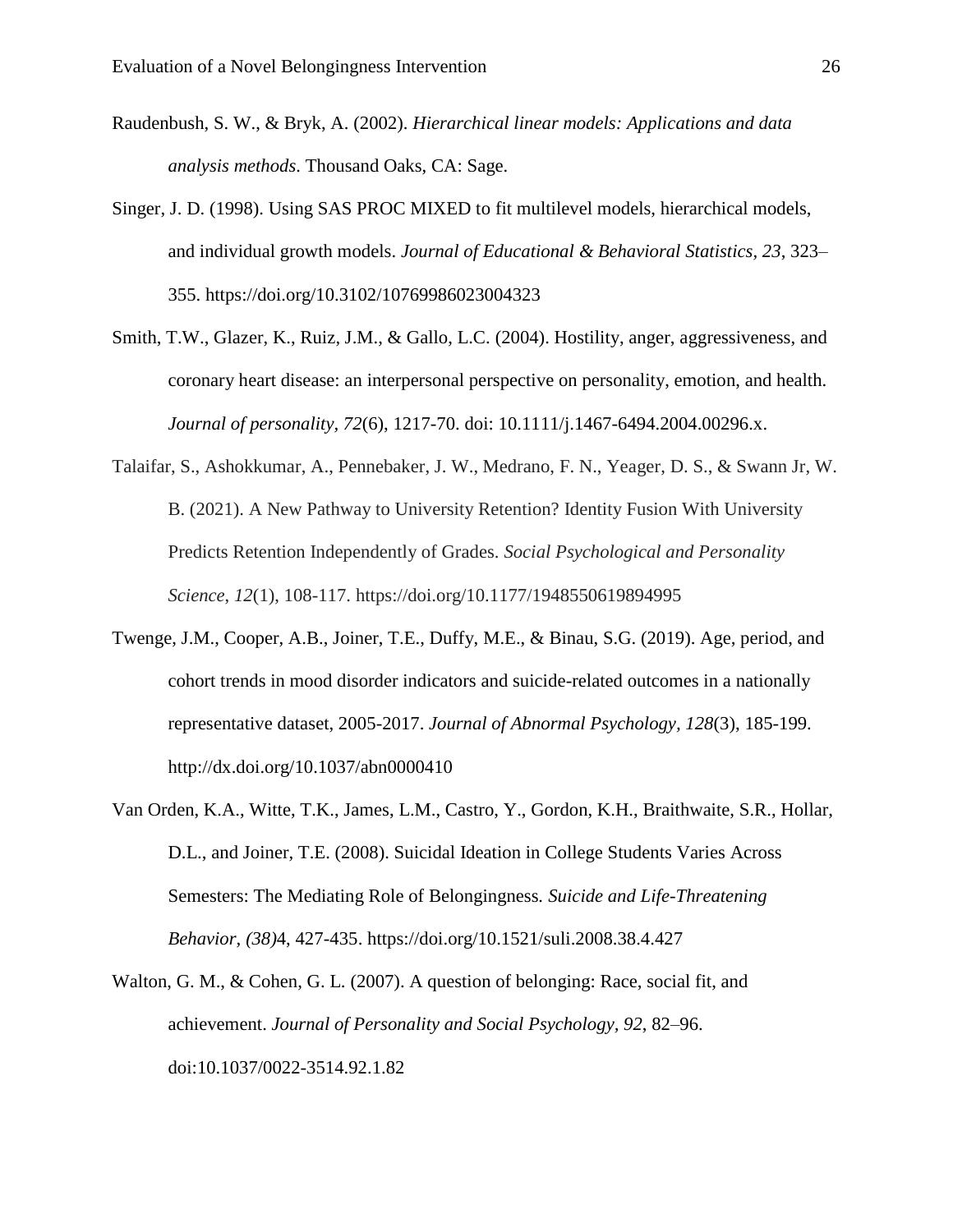- Raudenbush, S. W., & Bryk, A. (2002). *Hierarchical linear models: Applications and data analysis methods*. Thousand Oaks, CA: Sage.
- Singer, J. D. (1998). Using SAS PROC MIXED to fit multilevel models, hierarchical models, and individual growth models. *Journal of Educational & Behavioral Statistics, 23*, 323– 355. https://doi.org/10.3102/10769986023004323
- Smith, T.W., Glazer, K., Ruiz, J.M., & Gallo, L.C. (2004). Hostility, anger, aggressiveness, and coronary heart disease: an interpersonal perspective on personality, emotion, and health. *Journal of personality, 72*(6), 1217-70. doi: 10.1111/j.1467-6494.2004.00296.x.
- Talaifar, S., Ashokkumar, A., Pennebaker, J. W., Medrano, F. N., Yeager, D. S., & Swann Jr, W. B. (2021). A New Pathway to University Retention? Identity Fusion With University Predicts Retention Independently of Grades. *Social Psychological and Personality Science*, *12*(1), 108-117. https://doi.org/10.1177/1948550619894995
- Twenge, J.M., Cooper, A.B., Joiner, T.E., Duffy, M.E., & Binau, S.G. (2019). Age, period, and cohort trends in mood disorder indicators and suicide-related outcomes in a nationally representative dataset, 2005-2017. *Journal of Abnormal Psychology, 128*(3), 185-199. http://dx.doi.org/10.1037/abn0000410
- Van Orden, K.A., Witte, T.K., James, L.M., Castro, Y., Gordon, K.H., Braithwaite, S.R., Hollar, D.L., and Joiner, T.E. (2008). Suicidal Ideation in College Students Varies Across Semesters: The Mediating Role of Belongingness*. Suicide and Life-Threatening Behavior, (38)*4, 427-435. https://doi.org/10.1521/suli.2008.38.4.427
- Walton, G. M., & Cohen, G. L. (2007). A question of belonging: Race, social fit, and achievement. *Journal of Personality and Social Psychology, 92*, 82–96. doi:10.1037/0022-3514.92.1.82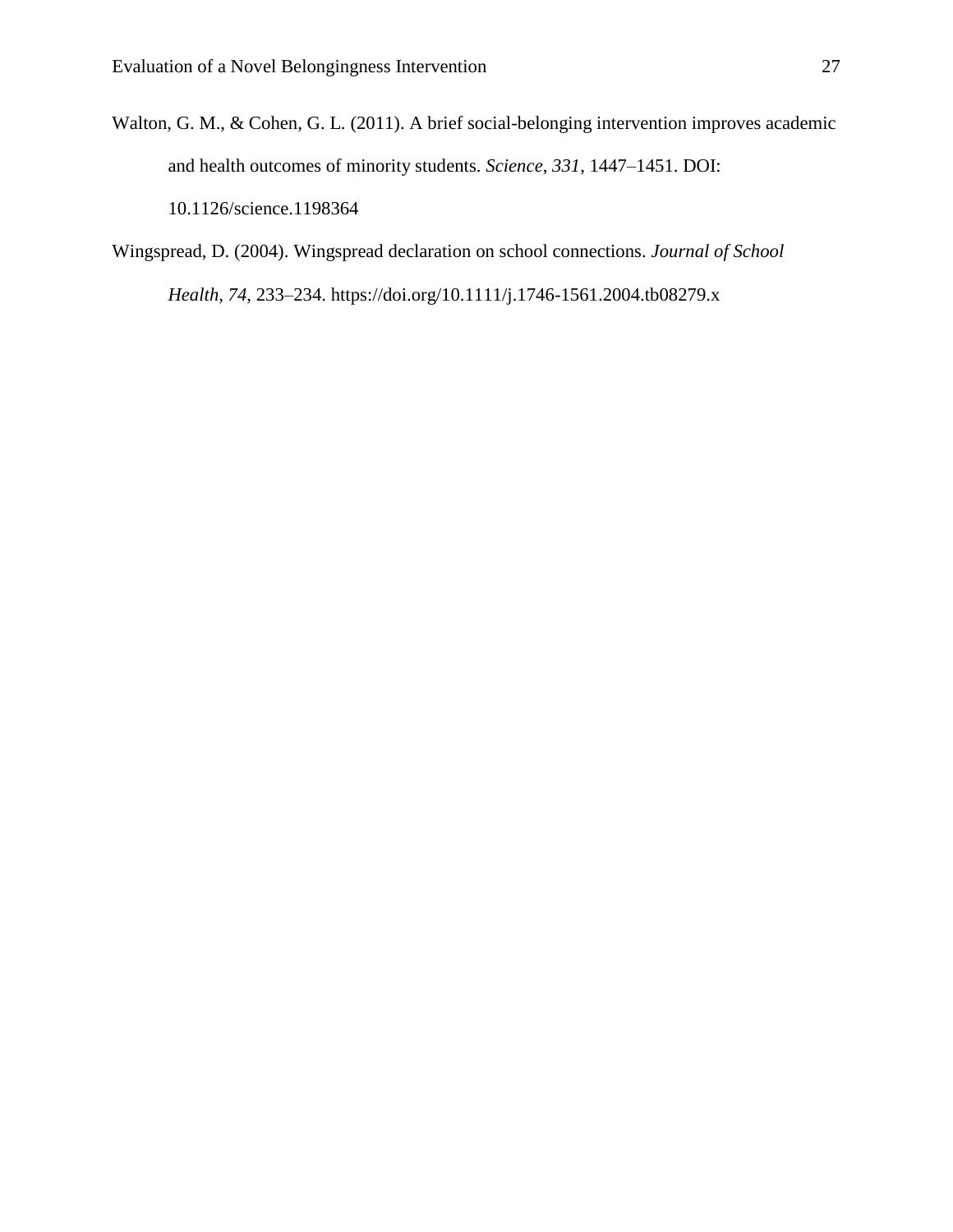- Walton, G. M., & Cohen, G. L. (2011). A brief social-belonging intervention improves academic and health outcomes of minority students. *Science*, *331*, 1447–1451. DOI: 10.1126/science.1198364
- Wingspread, D. (2004). Wingspread declaration on school connections. *Journal of School Health, 74*, 233–234. https://doi.org/10.1111/j.1746-1561.2004.tb08279.x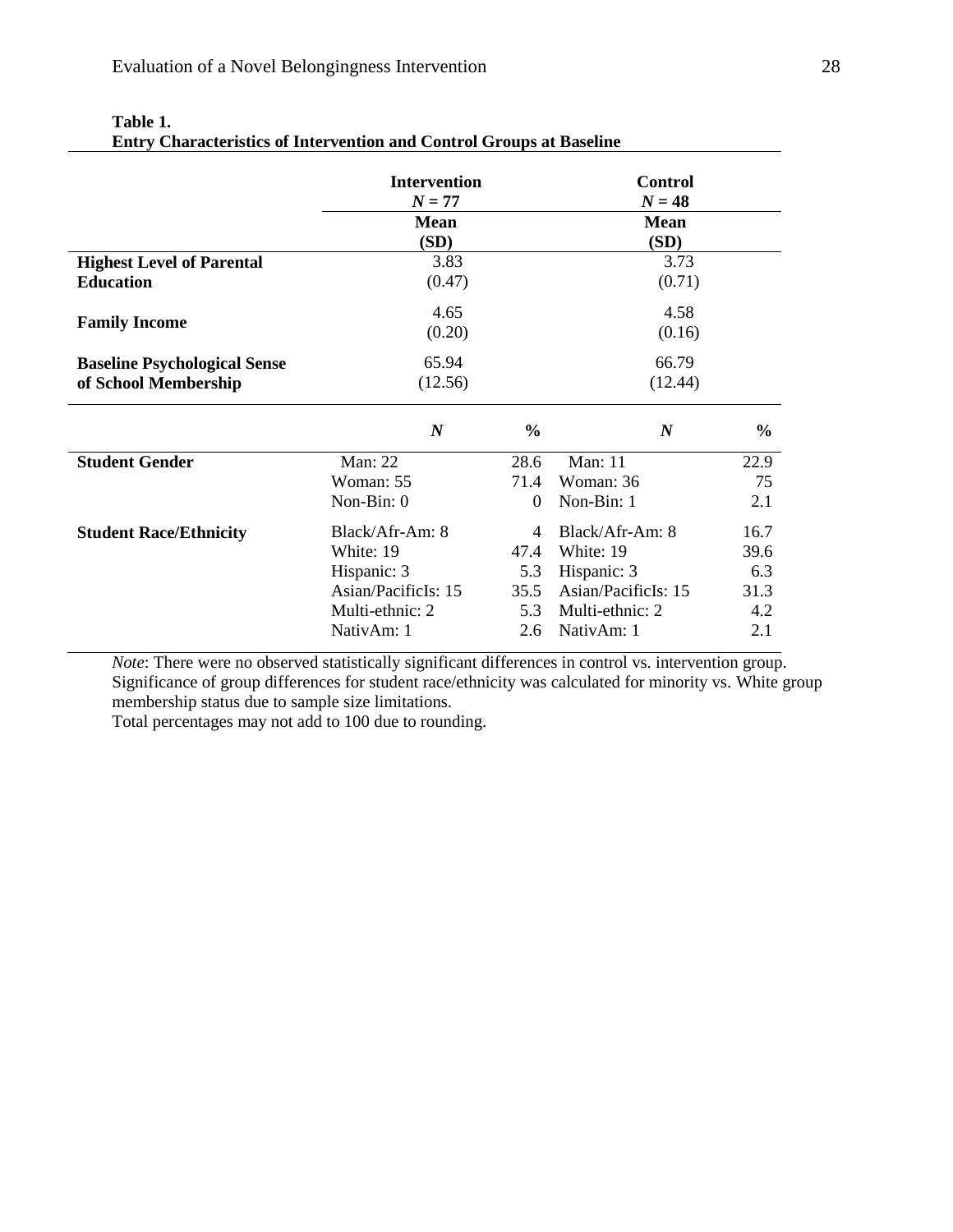|                                     | <b>Intervention</b><br>$N = 77$<br><b>Mean</b><br>(SD) |               | <b>Control</b><br>$N = 48$<br><b>Mean</b><br>(SD) |               |
|-------------------------------------|--------------------------------------------------------|---------------|---------------------------------------------------|---------------|
| <b>Highest Level of Parental</b>    | 3.83                                                   |               | 3.73                                              |               |
| <b>Education</b>                    | (0.47)                                                 |               | (0.71)                                            |               |
| <b>Family Income</b>                | 4.65<br>(0.20)                                         |               | 4.58<br>(0.16)                                    |               |
| <b>Baseline Psychological Sense</b> | 65.94                                                  |               | 66.79                                             |               |
| of School Membership                | (12.56)                                                |               | (12.44)                                           |               |
|                                     | $\boldsymbol{N}$                                       | $\frac{0}{0}$ | $\boldsymbol{N}$                                  | $\frac{6}{6}$ |
| <b>Student Gender</b>               | <b>Man</b> : 22                                        | 28.6          | <b>Man</b> : 11                                   | 22.9          |
|                                     | Woman: 55                                              | 71.4          | Woman: 36                                         | 75            |
|                                     | Non-Bin: 0                                             | $\Omega$      | Non-Bin: 1                                        | 2.1           |
| <b>Student Race/Ethnicity</b>       | Black/Afr-Am: 8                                        | 4             | Black/Afr-Am: 8                                   | 16.7          |
|                                     | White: 19                                              | 47.4          | White: 19                                         | 39.6          |
|                                     | Hispanic: 3                                            | 5.3           | Hispanic: 3                                       | 6.3           |
|                                     | Asian/PacificIs: 15<br>35.5                            |               | Asian/PacificIs: 15<br>31.3                       |               |
|                                     | Multi-ethnic: 2                                        | 5.3           | Multi-ethnic: 2                                   | 4.2           |
|                                     | NativAm: 1                                             | 2.6           | NativAm: 1                                        | 2.1           |

#### **Table 1. Entry Characteristics of Intervention and Control Groups at Baseline**

*Note*: There were no observed statistically significant differences in control vs. intervention group. Significance of group differences for student race/ethnicity was calculated for minority vs. White group membership status due to sample size limitations.

Total percentages may not add to 100 due to rounding.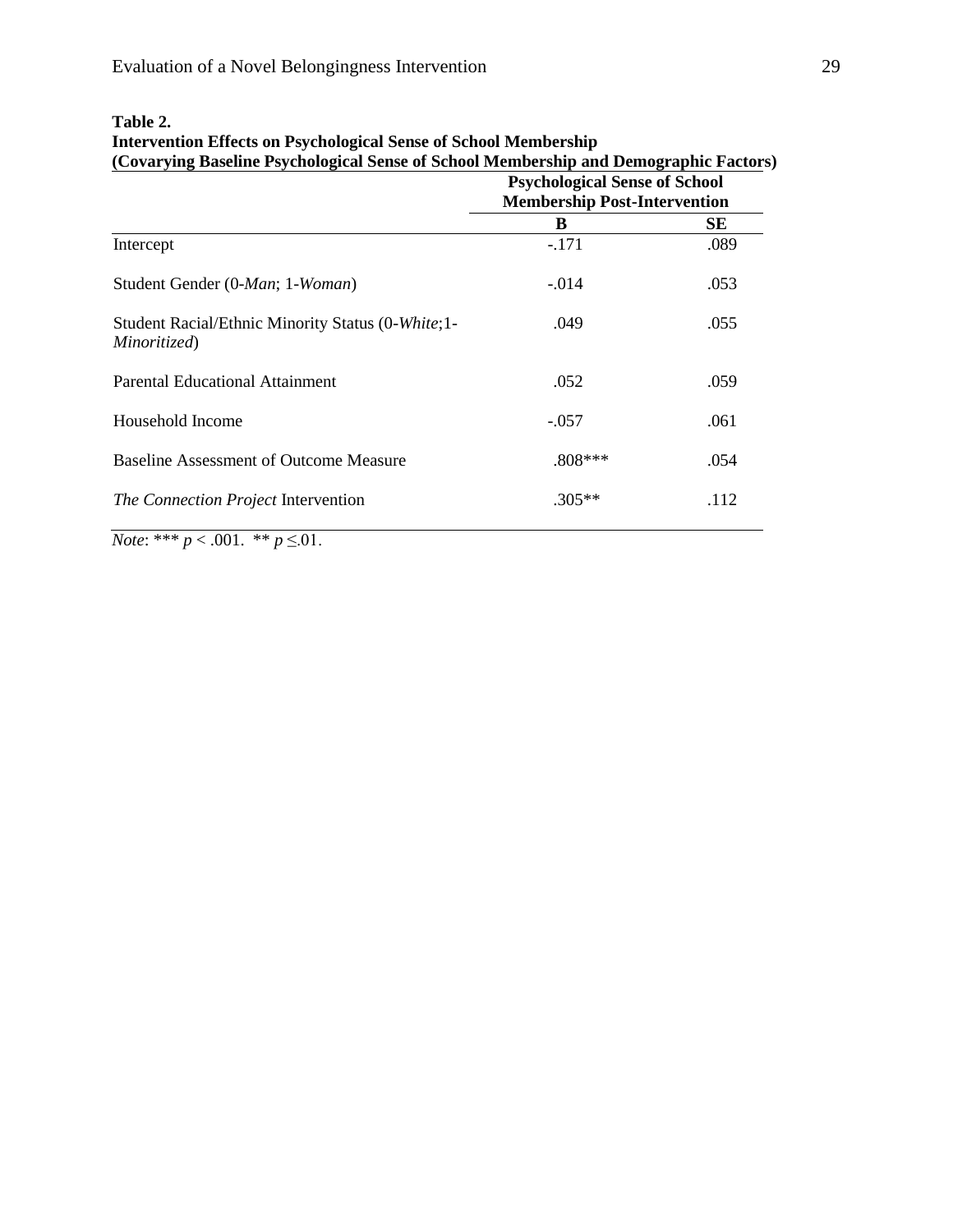|                                                                   | <b>Psychological Sense of School</b><br><b>Membership Post-Intervention</b> |      |  |
|-------------------------------------------------------------------|-----------------------------------------------------------------------------|------|--|
|                                                                   | B                                                                           | SЕ   |  |
| Intercept                                                         | $-171$                                                                      | .089 |  |
| Student Gender (0-Man; 1-Woman)                                   | $-.014$                                                                     | .053 |  |
| Student Racial/Ethnic Minority Status (0-White;1-<br>Minoritized) | .049                                                                        | .055 |  |
| Parental Educational Attainment                                   | .052                                                                        | .059 |  |
| Household Income                                                  | $-.057$                                                                     | .061 |  |
| <b>Baseline Assessment of Outcome Measure</b>                     | $.808***$                                                                   | .054 |  |
| The Connection Project Intervention                               | $.305**$                                                                    | .112 |  |
|                                                                   |                                                                             |      |  |

# **Table 2.**

**Intervention Effects on Psychological Sense of School Membership (Covarying Baseline Psychological Sense of School Membership and Demographic Factors)**

*Note*: \*\*\*  $p < .001$ . \*\*  $p \le 01$ .